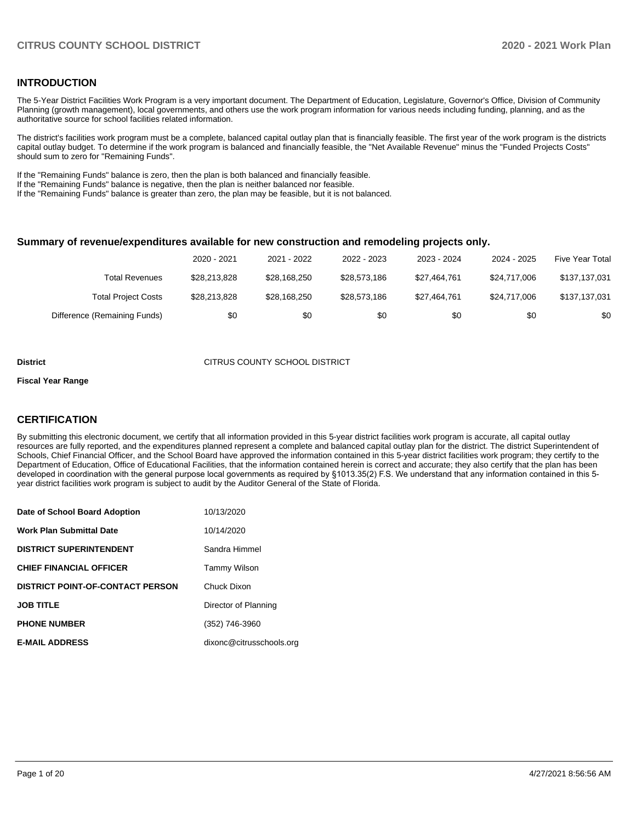#### **INTRODUCTION**

The 5-Year District Facilities Work Program is a very important document. The Department of Education, Legislature, Governor's Office, Division of Community Planning (growth management), local governments, and others use the work program information for various needs including funding, planning, and as the authoritative source for school facilities related information.

The district's facilities work program must be a complete, balanced capital outlay plan that is financially feasible. The first year of the work program is the districts capital outlay budget. To determine if the work program is balanced and financially feasible, the "Net Available Revenue" minus the "Funded Projects Costs" should sum to zero for "Remaining Funds".

If the "Remaining Funds" balance is zero, then the plan is both balanced and financially feasible.

If the "Remaining Funds" balance is negative, then the plan is neither balanced nor feasible.

If the "Remaining Funds" balance is greater than zero, the plan may be feasible, but it is not balanced.

#### **Summary of revenue/expenditures available for new construction and remodeling projects only.**

|                              | 2020 - 2021  | 2021 - 2022  | 2022 - 2023  | 2023 - 2024  | 2024 - 2025  | Five Year Total |
|------------------------------|--------------|--------------|--------------|--------------|--------------|-----------------|
| Total Revenues               | \$28,213,828 | \$28,168,250 | \$28.573.186 | \$27.464.761 | \$24,717,006 | \$137,137,031   |
| <b>Total Project Costs</b>   | \$28.213.828 | \$28,168,250 | \$28.573.186 | \$27.464.761 | \$24,717,006 | \$137,137,031   |
| Difference (Remaining Funds) | \$0          | \$0          | \$0          | \$0          | \$0          | \$0             |

#### **District CITRUS COUNTY SCHOOL DISTRICT**

#### **Fiscal Year Range**

#### **CERTIFICATION**

By submitting this electronic document, we certify that all information provided in this 5-year district facilities work program is accurate, all capital outlay resources are fully reported, and the expenditures planned represent a complete and balanced capital outlay plan for the district. The district Superintendent of Schools, Chief Financial Officer, and the School Board have approved the information contained in this 5-year district facilities work program; they certify to the Department of Education, Office of Educational Facilities, that the information contained herein is correct and accurate; they also certify that the plan has been developed in coordination with the general purpose local governments as required by §1013.35(2) F.S. We understand that any information contained in this 5 year district facilities work program is subject to audit by the Auditor General of the State of Florida.

| Date of School Board Adoption           | 10/13/2020               |
|-----------------------------------------|--------------------------|
| <b>Work Plan Submittal Date</b>         | 10/14/2020               |
| <b>DISTRICT SUPERINTENDENT</b>          | Sandra Himmel            |
| <b>CHIEF FINANCIAL OFFICER</b>          | Tammy Wilson             |
| <b>DISTRICT POINT-OF-CONTACT PERSON</b> | Chuck Dixon              |
| <b>JOB TITLE</b>                        | Director of Planning     |
| <b>PHONE NUMBER</b>                     | (352) 746-3960           |
| <b>E-MAIL ADDRESS</b>                   | dixonc@citrusschools.org |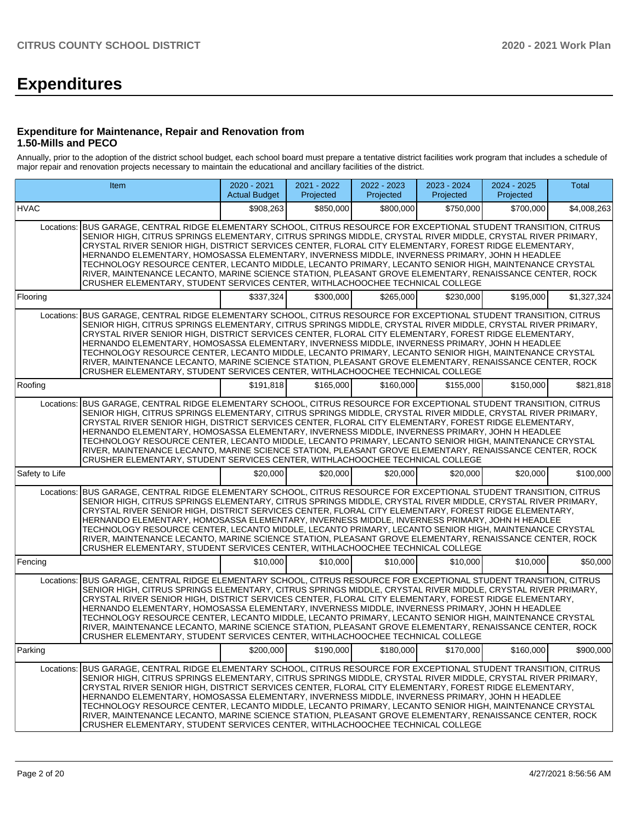# **Expenditures**

#### **Expenditure for Maintenance, Repair and Renovation from 1.50-Mills and PECO**

Annually, prior to the adoption of the district school budget, each school board must prepare a tentative district facilities work program that includes a schedule of major repair and renovation projects necessary to maintain the educational and ancillary facilities of the district.

|                | Item                                                                                                                                                                                                                                                                                                                                                                                                                                                                                                                                                                                                                                                                                                                                              | 2020 - 2021<br><b>Actual Budget</b> | 2021 - 2022<br>Projected | 2022 - 2023<br>Projected | 2023 - 2024<br>Projected | 2024 - 2025<br>Projected | Total       |
|----------------|---------------------------------------------------------------------------------------------------------------------------------------------------------------------------------------------------------------------------------------------------------------------------------------------------------------------------------------------------------------------------------------------------------------------------------------------------------------------------------------------------------------------------------------------------------------------------------------------------------------------------------------------------------------------------------------------------------------------------------------------------|-------------------------------------|--------------------------|--------------------------|--------------------------|--------------------------|-------------|
| <b>HVAC</b>    |                                                                                                                                                                                                                                                                                                                                                                                                                                                                                                                                                                                                                                                                                                                                                   | \$908,263                           | \$850,000                | \$800,000                | \$750,000                | \$700,000                | \$4,008,263 |
|                | Locations: BUS GARAGE, CENTRAL RIDGE ELEMENTARY SCHOOL, CITRUS RESOURCE FOR EXCEPTIONAL STUDENT TRANSITION, CITRUS<br>SENIOR HIGH, CITRUS SPRINGS ELEMENTARY, CITRUS SPRINGS MIDDLE, CRYSTAL RIVER MIDDLE, CRYSTAL RIVER PRIMARY,<br>CRYSTAL RIVER SENIOR HIGH, DISTRICT SERVICES CENTER, FLORAL CITY ELEMENTARY, FOREST RIDGE ELEMENTARY,<br>HERNANDO ELEMENTARY, HOMOSASSA ELEMENTARY, INVERNESS MIDDLE, INVERNESS PRIMARY, JOHN H HEADLEE<br>TECHNOLOGY RESOURCE CENTER, LECANTO MIDDLE, LECANTO PRIMARY, LECANTO SENIOR HIGH, MAINTENANCE CRYSTAL<br>RIVER, MAINTENANCE LECANTO, MARINE SCIENCE STATION, PLEASANT GROVE ELEMENTARY, RENAISSANCE CENTER, ROCK<br>CRUSHER ELEMENTARY, STUDENT SERVICES CENTER, WITHLACHOOCHEE TECHNICAL COLLEGE |                                     |                          |                          |                          |                          |             |
| Flooring       |                                                                                                                                                                                                                                                                                                                                                                                                                                                                                                                                                                                                                                                                                                                                                   | \$337.324                           | \$300.000                | \$265,000                | \$230,000                | \$195,000                | \$1,327,324 |
|                | Locations: BUS GARAGE, CENTRAL RIDGE ELEMENTARY SCHOOL, CITRUS RESOURCE FOR EXCEPTIONAL STUDENT TRANSITION, CITRUS<br>SENIOR HIGH, CITRUS SPRINGS ELEMENTARY, CITRUS SPRINGS MIDDLE, CRYSTAL RIVER MIDDLE, CRYSTAL RIVER PRIMARY,<br>CRYSTAL RIVER SENIOR HIGH, DISTRICT SERVICES CENTER, FLORAL CITY ELEMENTARY, FOREST RIDGE ELEMENTARY,<br>HERNANDO ELEMENTARY, HOMOSASSA ELEMENTARY, INVERNESS MIDDLE, INVERNESS PRIMARY, JOHN H HEADLEE<br>TECHNOLOGY RESOURCE CENTER, LECANTO MIDDLE, LECANTO PRIMARY, LECANTO SENIOR HIGH, MAINTENANCE CRYSTAL<br>RIVER, MAINTENANCE LECANTO, MARINE SCIENCE STATION, PLEASANT GROVE ELEMENTARY, RENAISSANCE CENTER, ROCK<br>CRUSHER ELEMENTARY, STUDENT SERVICES CENTER, WITHLACHOOCHEE TECHNICAL COLLEGE |                                     |                          |                          |                          |                          |             |
| Roofing        |                                                                                                                                                                                                                                                                                                                                                                                                                                                                                                                                                                                                                                                                                                                                                   | \$191,818                           | \$165,000                | \$160,000                | \$155,000                | \$150,000                | \$821,818   |
|                | Locations: BUS GARAGE, CENTRAL RIDGE ELEMENTARY SCHOOL, CITRUS RESOURCE FOR EXCEPTIONAL STUDENT TRANSITION, CITRUS<br>SENIOR HIGH, CITRUS SPRINGS ELEMENTARY, CITRUS SPRINGS MIDDLE, CRYSTAL RIVER MIDDLE, CRYSTAL RIVER PRIMARY,<br>CRYSTAL RIVER SENIOR HIGH, DISTRICT SERVICES CENTER, FLORAL CITY ELEMENTARY, FOREST RIDGE ELEMENTARY,<br>HERNANDO ELEMENTARY, HOMOSASSA ELEMENTARY, INVERNESS MIDDLE, INVERNESS PRIMARY, JOHN H HEADLEE<br>TECHNOLOGY RESOURCE CENTER, LECANTO MIDDLE, LECANTO PRIMARY, LECANTO SENIOR HIGH, MAINTENANCE CRYSTAL<br>RIVER, MAINTENANCE LECANTO, MARINE SCIENCE STATION, PLEASANT GROVE ELEMENTARY, RENAISSANCE CENTER, ROCK<br>CRUSHER ELEMENTARY, STUDENT SERVICES CENTER, WITHLACHOOCHEE TECHNICAL COLLEGE |                                     |                          |                          |                          |                          |             |
| Safety to Life |                                                                                                                                                                                                                                                                                                                                                                                                                                                                                                                                                                                                                                                                                                                                                   | \$20,000                            | \$20,000                 | \$20,000                 | \$20,000                 | \$20,000                 | \$100,000   |
| Locations:     | BUS GARAGE, CENTRAL RIDGE ELEMENTARY SCHOOL, CITRUS RESOURCE FOR EXCEPTIONAL STUDENT TRANSITION, CITRUS<br>SENIOR HIGH, CITRUS SPRINGS ELEMENTARY, CITRUS SPRINGS MIDDLE, CRYSTAL RIVER MIDDLE, CRYSTAL RIVER PRIMARY,<br>CRYSTAL RIVER SENIOR HIGH, DISTRICT SERVICES CENTER, FLORAL CITY ELEMENTARY, FOREST RIDGE ELEMENTARY,<br>HERNANDO ELEMENTARY, HOMOSASSA ELEMENTARY, INVERNESS MIDDLE, INVERNESS PRIMARY, JOHN H HEADLEE<br>TECHNOLOGY RESOURCE CENTER, LECANTO MIDDLE, LECANTO PRIMARY, LECANTO SENIOR HIGH, MAINTENANCE CRYSTAL<br>RIVER, MAINTENANCE LECANTO, MARINE SCIENCE STATION, PLEASANT GROVE ELEMENTARY, RENAISSANCE CENTER, ROCK<br>CRUSHER ELEMENTARY, STUDENT SERVICES CENTER, WITHLACHOOCHEE TECHNICAL COLLEGE            |                                     |                          |                          |                          |                          |             |
| Fencing        |                                                                                                                                                                                                                                                                                                                                                                                                                                                                                                                                                                                                                                                                                                                                                   | \$10,000                            | \$10,000                 | \$10,000                 | \$10,000                 | \$10,000                 | \$50,000    |
| Locations:     | BUS GARAGE, CENTRAL RIDGE ELEMENTARY SCHOOL, CITRUS RESOURCE FOR EXCEPTIONAL STUDENT TRANSITION, CITRUS<br>SENIOR HIGH, CITRUS SPRINGS ELEMENTARY, CITRUS SPRINGS MIDDLE, CRYSTAL RIVER MIDDLE, CRYSTAL RIVER PRIMARY,<br>CRYSTAL RIVER SENIOR HIGH. DISTRICT SERVICES CENTER. FLORAL CITY ELEMENTARY, FOREST RIDGE ELEMENTARY.<br>HERNANDO ELEMENTARY, HOMOSASSA ELEMENTARY, INVERNESS MIDDLE, INVERNESS PRIMARY, JOHN H HEADLEE<br>TECHNOLOGY RESOURCE CENTER. LECANTO MIDDLE, LECANTO PRIMARY, LECANTO SENIOR HIGH, MAINTENANCE CRYSTAL<br>RIVER, MAINTENANCE LECANTO, MARINE SCIENCE STATION, PLEASANT GROVE ELEMENTARY, RENAISSANCE CENTER, ROCK<br>CRUSHER ELEMENTARY, STUDENT SERVICES CENTER, WITHLACHOOCHEE TECHNICAL COLLEGE            |                                     |                          |                          |                          |                          |             |
| Parking        |                                                                                                                                                                                                                                                                                                                                                                                                                                                                                                                                                                                                                                                                                                                                                   | \$200,000                           | \$190,000                | \$180,000                | \$170,000                | \$160,000                | \$900,000   |
| Locations:     | BUS GARAGE, CENTRAL RIDGE ELEMENTARY SCHOOL, CITRUS RESOURCE FOR EXCEPTIONAL STUDENT TRANSITION, CITRUS<br>SENIOR HIGH, CITRUS SPRINGS ELEMENTARY, CITRUS SPRINGS MIDDLE, CRYSTAL RIVER MIDDLE, CRYSTAL RIVER PRIMARY,<br>CRYSTAL RIVER SENIOR HIGH, DISTRICT SERVICES CENTER, FLORAL CITY ELEMENTARY, FOREST RIDGE ELEMENTARY,<br>HERNANDO ELEMENTARY, HOMOSASSA ELEMENTARY, INVERNESS MIDDLE, INVERNESS PRIMARY, JOHN H HEADLEE<br>TECHNOLOGY RESOURCE CENTER, LECANTO MIDDLE, LECANTO PRIMARY, LECANTO SENIOR HIGH, MAINTENANCE CRYSTAL<br>RIVER, MAINTENANCE LECANTO, MARINE SCIENCE STATION, PLEASANT GROVE ELEMENTARY, RENAISSANCE CENTER, ROCK<br>CRUSHER ELEMENTARY, STUDENT SERVICES CENTER, WITHLACHOOCHEE TECHNICAL COLLEGE            |                                     |                          |                          |                          |                          |             |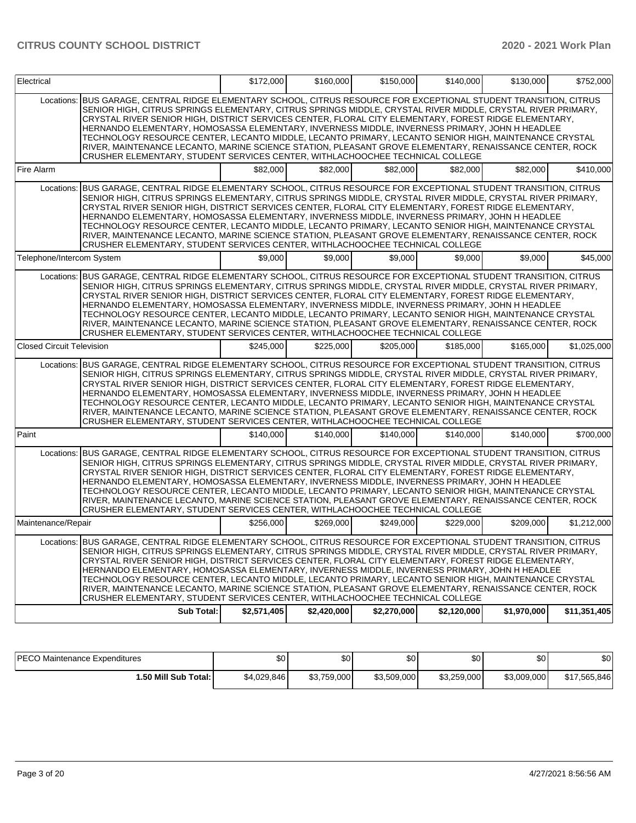| Electrical                       |                                                                                                                                                                                                                                                                                                                                                                                                                                                                                                                                                                                                                                                                                                                                                   | \$172,000   | \$160,000   | \$150,000   | \$140,000   | \$130,000   | \$752,000    |
|----------------------------------|---------------------------------------------------------------------------------------------------------------------------------------------------------------------------------------------------------------------------------------------------------------------------------------------------------------------------------------------------------------------------------------------------------------------------------------------------------------------------------------------------------------------------------------------------------------------------------------------------------------------------------------------------------------------------------------------------------------------------------------------------|-------------|-------------|-------------|-------------|-------------|--------------|
|                                  | Locations: BUS GARAGE, CENTRAL RIDGE ELEMENTARY SCHOOL, CITRUS RESOURCE FOR EXCEPTIONAL STUDENT TRANSITION, CITRUS<br>SENIOR HIGH, CITRUS SPRINGS ELEMENTARY, CITRUS SPRINGS MIDDLE, CRYSTAL RIVER MIDDLE, CRYSTAL RIVER PRIMARY,<br>CRYSTAL RIVER SENIOR HIGH, DISTRICT SERVICES CENTER, FLORAL CITY ELEMENTARY, FOREST RIDGE ELEMENTARY,<br>HERNANDO ELEMENTARY, HOMOSASSA ELEMENTARY, INVERNESS MIDDLE, INVERNESS PRIMARY, JOHN H HEADLEE<br>TECHNOLOGY RESOURCE CENTER, LECANTO MIDDLE, LECANTO PRIMARY, LECANTO SENIOR HIGH, MAINTENANCE CRYSTAL<br>RIVER, MAINTENANCE LECANTO, MARINE SCIENCE STATION, PLEASANT GROVE ELEMENTARY, RENAISSANCE CENTER, ROCK<br>CRUSHER ELEMENTARY, STUDENT SERVICES CENTER, WITHLACHOOCHEE TECHNICAL COLLEGE |             |             |             |             |             |              |
| Fire Alarm                       |                                                                                                                                                                                                                                                                                                                                                                                                                                                                                                                                                                                                                                                                                                                                                   | \$82,000    | \$82,000    | \$82,000    | \$82,000    | \$82,000    | \$410,000    |
|                                  | Locations: BUS GARAGE, CENTRAL RIDGE ELEMENTARY SCHOOL, CITRUS RESOURCE FOR EXCEPTIONAL STUDENT TRANSITION, CITRUS<br>SENIOR HIGH, CITRUS SPRINGS ELEMENTARY, CITRUS SPRINGS MIDDLE, CRYSTAL RIVER MIDDLE, CRYSTAL RIVER PRIMARY,<br>CRYSTAL RIVER SENIOR HIGH, DISTRICT SERVICES CENTER, FLORAL CITY ELEMENTARY, FOREST RIDGE ELEMENTARY,<br>HERNANDO ELEMENTARY, HOMOSASSA ELEMENTARY, INVERNESS MIDDLE, INVERNESS PRIMARY, JOHN H HEADLEE<br>TECHNOLOGY RESOURCE CENTER, LECANTO MIDDLE, LECANTO PRIMARY, LECANTO SENIOR HIGH, MAINTENANCE CRYSTAL<br>RIVER, MAINTENANCE LECANTO, MARINE SCIENCE STATION, PLEASANT GROVE ELEMENTARY, RENAISSANCE CENTER, ROCK<br>CRUSHER ELEMENTARY, STUDENT SERVICES CENTER, WITHLACHOOCHEE TECHNICAL COLLEGE |             |             |             |             |             |              |
| Telephone/Intercom System        |                                                                                                                                                                                                                                                                                                                                                                                                                                                                                                                                                                                                                                                                                                                                                   | \$9,000     | \$9,000     | \$9,000     | \$9,000     | \$9,000     | \$45,000     |
|                                  | Locations: BUS GARAGE, CENTRAL RIDGE ELEMENTARY SCHOOL, CITRUS RESOURCE FOR EXCEPTIONAL STUDENT TRANSITION, CITRUS<br>SENIOR HIGH, CITRUS SPRINGS ELEMENTARY, CITRUS SPRINGS MIDDLE, CRYSTAL RIVER MIDDLE, CRYSTAL RIVER PRIMARY,<br>CRYSTAL RIVER SENIOR HIGH, DISTRICT SERVICES CENTER, FLORAL CITY ELEMENTARY, FOREST RIDGE ELEMENTARY,<br>HERNANDO ELEMENTARY, HOMOSASSA ELEMENTARY, INVERNESS MIDDLE, INVERNESS PRIMARY, JOHN H HEADLEE<br>TECHNOLOGY RESOURCE CENTER, LECANTO MIDDLE, LECANTO PRIMARY, LECANTO SENIOR HIGH, MAINTENANCE CRYSTAL<br>RIVER, MAINTENANCE LECANTO, MARINE SCIENCE STATION, PLEASANT GROVE ELEMENTARY, RENAISSANCE CENTER, ROCK<br>CRUSHER ELEMENTARY, STUDENT SERVICES CENTER, WITHLACHOOCHEE TECHNICAL COLLEGE |             |             |             |             |             |              |
| <b>Closed Circuit Television</b> |                                                                                                                                                                                                                                                                                                                                                                                                                                                                                                                                                                                                                                                                                                                                                   | \$245,000   | \$225,000   | \$205,000   | \$185,000   | \$165,000   | \$1,025,000  |
|                                  | Locations: BUS GARAGE, CENTRAL RIDGE ELEMENTARY SCHOOL, CITRUS RESOURCE FOR EXCEPTIONAL STUDENT TRANSITION, CITRUS<br>SENIOR HIGH, CITRUS SPRINGS ELEMENTARY, CITRUS SPRINGS MIDDLE, CRYSTAL RIVER MIDDLE, CRYSTAL RIVER PRIMARY,<br>CRYSTAL RIVER SENIOR HIGH, DISTRICT SERVICES CENTER, FLORAL CITY ELEMENTARY, FOREST RIDGE ELEMENTARY,<br>HERNANDO ELEMENTARY, HOMOSASSA ELEMENTARY, INVERNESS MIDDLE, INVERNESS PRIMARY, JOHN H HEADLEE<br>TECHNOLOGY RESOURCE CENTER, LECANTO MIDDLE, LECANTO PRIMARY, LECANTO SENIOR HIGH, MAINTENANCE CRYSTAL<br>RIVER, MAINTENANCE LECANTO, MARINE SCIENCE STATION, PLEASANT GROVE ELEMENTARY, RENAISSANCE CENTER, ROCK<br>CRUSHER ELEMENTARY, STUDENT SERVICES CENTER, WITHLACHOOCHEE TECHNICAL COLLEGE |             |             |             |             |             |              |
| Paint                            |                                                                                                                                                                                                                                                                                                                                                                                                                                                                                                                                                                                                                                                                                                                                                   | \$140,000   | \$140,000   | \$140,000   | \$140,000   | \$140,000   | \$700,000    |
|                                  | Locations: BUS GARAGE, CENTRAL RIDGE ELEMENTARY SCHOOL, CITRUS RESOURCE FOR EXCEPTIONAL STUDENT TRANSITION, CITRUS<br>SENIOR HIGH, CITRUS SPRINGS ELEMENTARY, CITRUS SPRINGS MIDDLE, CRYSTAL RIVER MIDDLE, CRYSTAL RIVER PRIMARY,<br>CRYSTAL RIVER SENIOR HIGH, DISTRICT SERVICES CENTER, FLORAL CITY ELEMENTARY, FOREST RIDGE ELEMENTARY,<br>HERNANDO ELEMENTARY, HOMOSASSA ELEMENTARY, INVERNESS MIDDLE, INVERNESS PRIMARY, JOHN H HEADLEE<br>TECHNOLOGY RESOURCE CENTER, LECANTO MIDDLE, LECANTO PRIMARY, LECANTO SENIOR HIGH, MAINTENANCE CRYSTAL<br>RIVER, MAINTENANCE LECANTO, MARINE SCIENCE STATION, PLEASANT GROVE ELEMENTARY, RENAISSANCE CENTER, ROCK<br>CRUSHER ELEMENTARY, STUDENT SERVICES CENTER, WITHLACHOOCHEE TECHNICAL COLLEGE |             |             |             |             |             |              |
| Maintenance/Repair               |                                                                                                                                                                                                                                                                                                                                                                                                                                                                                                                                                                                                                                                                                                                                                   | \$256,000   | \$269.000   | \$249,000   | \$229,000   | \$209,000   | \$1,212,000  |
|                                  | Locations: BUS GARAGE, CENTRAL RIDGE ELEMENTARY SCHOOL, CITRUS RESOURCE FOR EXCEPTIONAL STUDENT TRANSITION, CITRUS<br>SENIOR HIGH, CITRUS SPRINGS ELEMENTARY, CITRUS SPRINGS MIDDLE, CRYSTAL RIVER MIDDLE, CRYSTAL RIVER PRIMARY,<br>CRYSTAL RIVER SENIOR HIGH, DISTRICT SERVICES CENTER, FLORAL CITY ELEMENTARY, FOREST RIDGE ELEMENTARY,<br>HERNANDO ELEMENTARY, HOMOSASSA ELEMENTARY, INVERNESS MIDDLE, INVERNESS PRIMARY, JOHN H HEADLEE<br>TECHNOLOGY RESOURCE CENTER, LECANTO MIDDLE, LECANTO PRIMARY, LECANTO SENIOR HIGH, MAINTENANCE CRYSTAL<br>RIVER, MAINTENANCE LECANTO, MARINE SCIENCE STATION, PLEASANT GROVE ELEMENTARY, RENAISSANCE CENTER, ROCK<br>CRUSHER ELEMENTARY, STUDENT SERVICES CENTER, WITHLACHOOCHEE TECHNICAL COLLEGE |             |             |             |             |             |              |
|                                  | Sub Total:                                                                                                                                                                                                                                                                                                                                                                                                                                                                                                                                                                                                                                                                                                                                        | \$2,571,405 | \$2,420,000 | \$2,270,000 | \$2,120,000 | \$1,970,000 | \$11,351,405 |

| <b>IPECO Maintenance Expenditures</b> | \$0         | \$0         | \$0         | \$0         | \$0 <sub>1</sub> | \$0          |
|---------------------------------------|-------------|-------------|-------------|-------------|------------------|--------------|
| I.50 Mill Sub Total: İ                | \$4.029.846 | \$3,759,000 | \$3,509,000 | \$3,259,000 | \$3,009,000      | \$17,565,846 |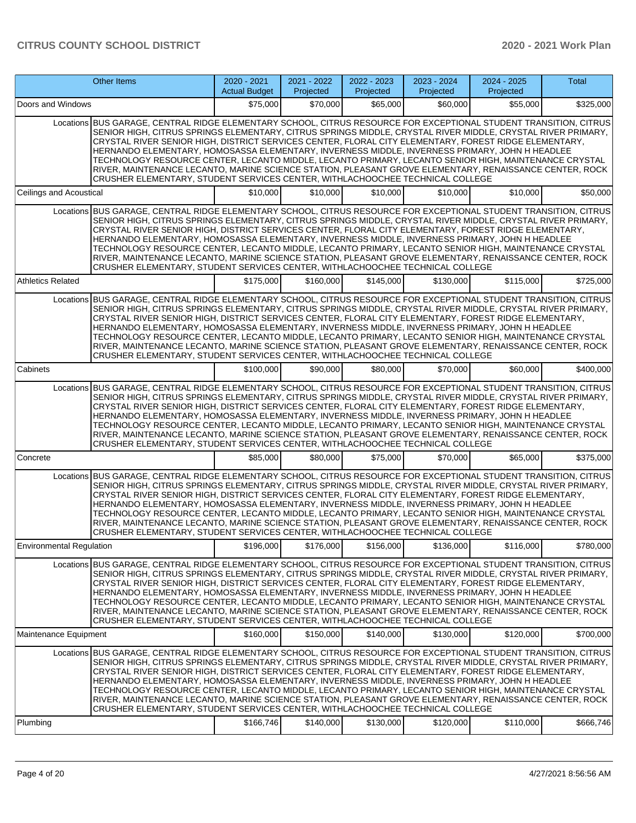|                                 | <b>Other Items</b>                                                                                                                                                                                                                                                                                                                                                                                                                                                                                                                                                                                                                                                                                                                               | 2020 - 2021<br><b>Actual Budget</b> | 2021 - 2022<br>Projected | 2022 - 2023<br>Projected | 2023 - 2024<br>Projected | 2024 - 2025<br>Projected | <b>Total</b> |
|---------------------------------|--------------------------------------------------------------------------------------------------------------------------------------------------------------------------------------------------------------------------------------------------------------------------------------------------------------------------------------------------------------------------------------------------------------------------------------------------------------------------------------------------------------------------------------------------------------------------------------------------------------------------------------------------------------------------------------------------------------------------------------------------|-------------------------------------|--------------------------|--------------------------|--------------------------|--------------------------|--------------|
| Doors and Windows               |                                                                                                                                                                                                                                                                                                                                                                                                                                                                                                                                                                                                                                                                                                                                                  | \$75,000                            | \$70,000                 | \$65,000                 | \$60,000                 | \$55,000                 | \$325,000    |
|                                 | Locations BUS GARAGE, CENTRAL RIDGE ELEMENTARY SCHOOL, CITRUS RESOURCE FOR EXCEPTIONAL STUDENT TRANSITION, CITRUS<br>SENIOR HIGH, CITRUS SPRINGS ELEMENTARY, CITRUS SPRINGS MIDDLE, CRYSTAL RIVER MIDDLE, CRYSTAL RIVER PRIMARY,<br>CRYSTAL RIVER SENIOR HIGH, DISTRICT SERVICES CENTER, FLORAL CITY ELEMENTARY, FOREST RIDGE ELEMENTARY,<br>HERNANDO ELEMENTARY, HOMOSASSA ELEMENTARY, INVERNESS MIDDLE, INVERNESS PRIMARY, JOHN H HEADLEE<br>TECHNOLOGY RESOURCE CENTER, LECANTO MIDDLE, LECANTO PRIMARY, LECANTO SENIOR HIGH, MAINTENANCE CRYSTAL<br>RIVER, MAINTENANCE LECANTO, MARINE SCIENCE STATION, PLEASANT GROVE ELEMENTARY, RENAISSANCE CENTER, ROCK<br>CRUSHER ELEMENTARY, STUDENT SERVICES CENTER, WITHLACHOOCHEE TECHNICAL COLLEGE |                                     |                          |                          |                          |                          |              |
| Ceilings and Acoustical         |                                                                                                                                                                                                                                                                                                                                                                                                                                                                                                                                                                                                                                                                                                                                                  | \$10,000                            | \$10,000                 | \$10,000                 | \$10,000                 | \$10,000                 | \$50,000     |
|                                 | Locations BUS GARAGE, CENTRAL RIDGE ELEMENTARY SCHOOL, CITRUS RESOURCE FOR EXCEPTIONAL STUDENT TRANSITION, CITRUS<br>SENIOR HIGH, CITRUS SPRINGS ELEMENTARY, CITRUS SPRINGS MIDDLE, CRYSTAL RIVER MIDDLE, CRYSTAL RIVER PRIMARY,<br>CRYSTAL RIVER SENIOR HIGH, DISTRICT SERVICES CENTER, FLORAL CITY ELEMENTARY, FOREST RIDGE ELEMENTARY,<br>HERNANDO ELEMENTARY, HOMOSASSA ELEMENTARY, INVERNESS MIDDLE, INVERNESS PRIMARY, JOHN H HEADLEE<br>TECHNOLOGY RESOURCE CENTER, LECANTO MIDDLE, LECANTO PRIMARY, LECANTO SENIOR HIGH, MAINTENANCE CRYSTAL<br>RIVER, MAINTENANCE LECANTO, MARINE SCIENCE STATION, PLEASANT GROVE ELEMENTARY, RENAISSANCE CENTER, ROCK<br>CRUSHER ELEMENTARY, STUDENT SERVICES CENTER, WITHLACHOOCHEE TECHNICAL COLLEGE |                                     |                          |                          |                          |                          |              |
| <b>Athletics Related</b>        |                                                                                                                                                                                                                                                                                                                                                                                                                                                                                                                                                                                                                                                                                                                                                  | \$175,000                           | \$160,000                | \$145,000                | \$130,000                | \$115,000                | \$725,000    |
|                                 | Locations BUS GARAGE, CENTRAL RIDGE ELEMENTARY SCHOOL, CITRUS RESOURCE FOR EXCEPTIONAL STUDENT TRANSITION, CITRUS<br>SENIOR HIGH. CITRUS SPRINGS ELEMENTARY. CITRUS SPRINGS MIDDLE. CRYSTAL RIVER MIDDLE. CRYSTAL RIVER PRIMARY.<br>CRYSTAL RIVER SENIOR HIGH, DISTRICT SERVICES CENTER, FLORAL CITY ELEMENTARY, FOREST RIDGE ELEMENTARY,<br>HERNANDO ELEMENTARY, HOMOSASSA ELEMENTARY, INVERNESS MIDDLE, INVERNESS PRIMARY, JOHN H HEADLEE<br>TECHNOLOGY RESOURCE CENTER, LECANTO MIDDLE, LECANTO PRIMARY, LECANTO SENIOR HIGH, MAINTENANCE CRYSTAL<br>RIVER, MAINTENANCE LECANTO, MARINE SCIENCE STATION, PLEASANT GROVE ELEMENTARY, RENAISSANCE CENTER, ROCK<br>CRUSHER ELEMENTARY, STUDENT SERVICES CENTER, WITHLACHOOCHEE TECHNICAL COLLEGE |                                     |                          |                          |                          |                          |              |
| Cabinets                        |                                                                                                                                                                                                                                                                                                                                                                                                                                                                                                                                                                                                                                                                                                                                                  | \$100,000                           | \$90,000                 | \$80,000                 | \$70,000                 | \$60,000                 | \$400,000    |
|                                 | Locations BUS GARAGE, CENTRAL RIDGE ELEMENTARY SCHOOL, CITRUS RESOURCE FOR EXCEPTIONAL STUDENT TRANSITION, CITRUS<br>SENIOR HIGH, CITRUS SPRINGS ELEMENTARY, CITRUS SPRINGS MIDDLE, CRYSTAL RIVER MIDDLE, CRYSTAL RIVER PRIMARY,<br>CRYSTAL RIVER SENIOR HIGH, DISTRICT SERVICES CENTER, FLORAL CITY ELEMENTARY, FOREST RIDGE ELEMENTARY,<br>HERNANDO ELEMENTARY, HOMOSASSA ELEMENTARY, INVERNESS MIDDLE, INVERNESS PRIMARY, JOHN H HEADLEE<br>TECHNOLOGY RESOURCE CENTER, LECANTO MIDDLE, LECANTO PRIMARY, LECANTO SENIOR HIGH, MAINTENANCE CRYSTAL<br>RIVER, MAINTENANCE LECANTO, MARINE SCIENCE STATION, PLEASANT GROVE ELEMENTARY, RENAISSANCE CENTER, ROCK<br>CRUSHER ELEMENTARY, STUDENT SERVICES CENTER, WITHLACHOOCHEE TECHNICAL COLLEGE |                                     |                          |                          |                          |                          |              |
| Concrete                        |                                                                                                                                                                                                                                                                                                                                                                                                                                                                                                                                                                                                                                                                                                                                                  | \$85,000                            | \$80,000                 | \$75,000                 | \$70,000                 | \$65,000                 | \$375,000    |
|                                 | Locations BUS GARAGE, CENTRAL RIDGE ELEMENTARY SCHOOL, CITRUS RESOURCE FOR EXCEPTIONAL STUDENT TRANSITION, CITRUS<br>SENIOR HIGH, CITRUS SPRINGS ELEMENTARY, CITRUS SPRINGS MIDDLE, CRYSTAL RIVER MIDDLE, CRYSTAL RIVER PRIMARY,<br>CRYSTAL RIVER SENIOR HIGH, DISTRICT SERVICES CENTER, FLORAL CITY ELEMENTARY, FOREST RIDGE ELEMENTARY,<br>HERNANDO ELEMENTARY. HOMOSASSA ELEMENTARY. INVERNESS MIDDLE. INVERNESS PRIMARY. JOHN H HEADLEE<br>TECHNOLOGY RESOURCE CENTER, LECANTO MIDDLE, LECANTO PRIMARY, LECANTO SENIOR HIGH, MAINTENANCE CRYSTAL<br>RIVER, MAINTENANCE LECANTO, MARINE SCIENCE STATION, PLEASANT GROVE ELEMENTARY, RENAISSANCE CENTER, ROCK<br>CRUSHER ELEMENTARY, STUDENT SERVICES CENTER, WITHLACHOOCHEE TECHNICAL COLLEGE |                                     |                          |                          |                          |                          |              |
| <b>Environmental Regulation</b> |                                                                                                                                                                                                                                                                                                                                                                                                                                                                                                                                                                                                                                                                                                                                                  | \$196,000                           | \$176,000                | \$156,000                | \$136,000                | \$116,000                | \$780,000    |
|                                 | Locations BUS GARAGE, CENTRAL RIDGE ELEMENTARY SCHOOL, CITRUS RESOURCE FOR EXCEPTIONAL STUDENT TRANSITION, CITRUS<br>SENIOR HIGH, CITRUS SPRINGS ELEMENTARY, CITRUS SPRINGS MIDDLE, CRYSTAL RIVER MIDDLE, CRYSTAL RIVER PRIMARY,<br>CRYSTAL RIVER SENIOR HIGH, DISTRICT SERVICES CENTER, FLORAL CITY ELEMENTARY, FOREST RIDGE ELEMENTARY,<br>HERNANDO ELEMENTARY, HOMOSASSA ELEMENTARY, INVERNESS MIDDLE, INVERNESS PRIMARY, JOHN H HEADLEE<br>TECHNOLOGY RESOURCE CENTER, LECANTO MIDDLE, LECANTO PRIMARY, LECANTO SENIOR HIGH, MAINTENANCE CRYSTAL<br>RIVER, MAINTENANCE LECANTO, MARINE SCIENCE STATION, PLEASANT GROVE ELEMENTARY, RENAISSANCE CENTER, ROCK<br>CRUSHER ELEMENTARY, STUDENT SERVICES CENTER, WITHLACHOOCHEE TECHNICAL COLLEGE |                                     |                          |                          |                          |                          |              |
| Maintenance Equipment           |                                                                                                                                                                                                                                                                                                                                                                                                                                                                                                                                                                                                                                                                                                                                                  | \$160,000                           | \$150,000                | \$140,000                | \$130,000                | \$120,000                | \$700,000    |
|                                 | Locations BUS GARAGE, CENTRAL RIDGE ELEMENTARY SCHOOL, CITRUS RESOURCE FOR EXCEPTIONAL STUDENT TRANSITION, CITRUS<br>SENIOR HIGH, CITRUS SPRINGS ELEMENTARY, CITRUS SPRINGS MIDDLE, CRYSTAL RIVER MIDDLE, CRYSTAL RIVER PRIMARY,<br>CRYSTAL RIVER SENIOR HIGH, DISTRICT SERVICES CENTER, FLORAL CITY ELEMENTARY, FOREST RIDGE ELEMENTARY,<br>HERNANDO ELEMENTARY, HOMOSASSA ELEMENTARY, INVERNESS MIDDLE, INVERNESS PRIMARY, JOHN H HEADLEE<br>TECHNOLOGY RESOURCE CENTER, LECANTO MIDDLE, LECANTO PRIMARY, LECANTO SENIOR HIGH, MAINTENANCE CRYSTAL<br>RIVER, MAINTENANCE LECANTO, MARINE SCIENCE STATION, PLEASANT GROVE ELEMENTARY, RENAISSANCE CENTER, ROCK<br>CRUSHER ELEMENTARY, STUDENT SERVICES CENTER, WITHLACHOOCHEE TECHNICAL COLLEGE |                                     |                          |                          |                          |                          |              |
| Plumbing                        |                                                                                                                                                                                                                                                                                                                                                                                                                                                                                                                                                                                                                                                                                                                                                  | \$166,746                           | \$140,000                | \$130,000                | \$120,000                | \$110,000                | \$666,746    |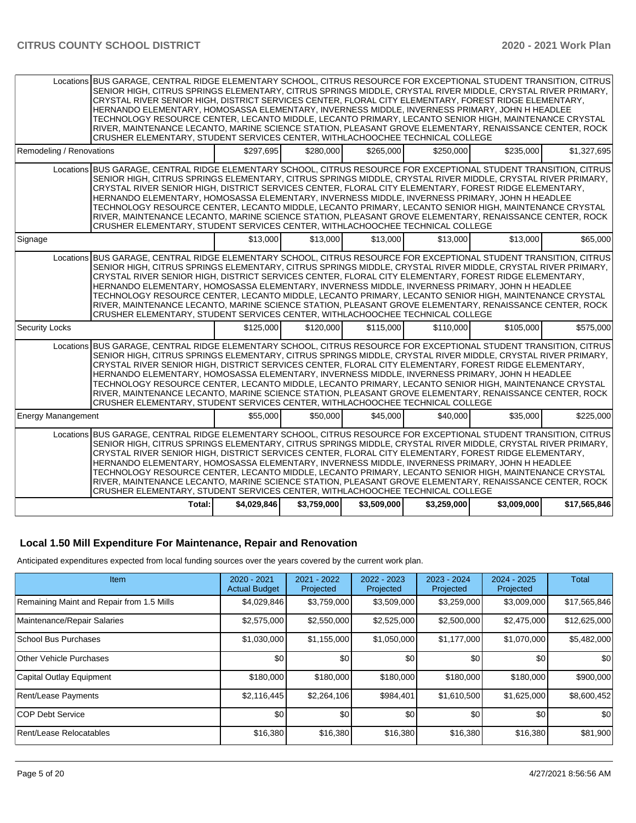|                           | Locations BUS GARAGE, CENTRAL RIDGE ELEMENTARY SCHOOL, CITRUS RESOURCE FOR EXCEPTIONAL STUDENT TRANSITION, CITRUS<br>SENIOR HIGH, CITRUS SPRINGS ELEMENTARY, CITRUS SPRINGS MIDDLE, CRYSTAL RIVER MIDDLE, CRYSTAL RIVER PRIMARY,<br>CRYSTAL RIVER SENIOR HIGH, DISTRICT SERVICES CENTER, FLORAL CITY ELEMENTARY, FOREST RIDGE ELEMENTARY,<br>HERNANDO ELEMENTARY, HOMOSASSA ELEMENTARY, INVERNESS MIDDLE, INVERNESS PRIMARY, JOHN H HEADLEE<br>TECHNOLOGY RESOURCE CENTER, LECANTO MIDDLE, LECANTO PRIMARY, LECANTO SENIOR HIGH, MAINTENANCE CRYSTAL<br>RIVER, MAINTENANCE LECANTO, MARINE SCIENCE STATION, PLEASANT GROVE ELEMENTARY, RENAISSANCE CENTER, ROCK<br>CRUSHER ELEMENTARY, STUDENT SERVICES CENTER, WITHLACHOOCHEE TECHNICAL COLLEGE           |             |             |             |             |             |              |
|---------------------------|------------------------------------------------------------------------------------------------------------------------------------------------------------------------------------------------------------------------------------------------------------------------------------------------------------------------------------------------------------------------------------------------------------------------------------------------------------------------------------------------------------------------------------------------------------------------------------------------------------------------------------------------------------------------------------------------------------------------------------------------------------|-------------|-------------|-------------|-------------|-------------|--------------|
| Remodeling / Renovations  |                                                                                                                                                                                                                                                                                                                                                                                                                                                                                                                                                                                                                                                                                                                                                            | \$297,695   | \$280,000   | \$265,000   | \$250,000   | \$235,000   | \$1,327,695  |
|                           | Locations BUS GARAGE, CENTRAL RIDGE ELEMENTARY SCHOOL, CITRUS RESOURCE FOR EXCEPTIONAL STUDENT TRANSITION, CITRUS<br>SENIOR HIGH, CITRUS SPRINGS ELEMENTARY, CITRUS SPRINGS MIDDLE, CRYSTAL RIVER MIDDLE, CRYSTAL RIVER PRIMARY,<br>CRYSTAL RIVER SENIOR HIGH, DISTRICT SERVICES CENTER, FLORAL CITY ELEMENTARY, FOREST RIDGE ELEMENTARY,<br>HERNANDO ELEMENTARY, HOMOSASSA ELEMENTARY, INVERNESS MIDDLE, INVERNESS PRIMARY, JOHN H HEADLEE<br>TECHNOLOGY RESOURCE CENTER, LECANTO MIDDLE, LECANTO PRIMARY, LECANTO SENIOR HIGH, MAINTENANCE CRYSTAL<br>RIVER, MAINTENANCE LECANTO, MARINE SCIENCE STATION, PLEASANT GROVE ELEMENTARY, RENAISSANCE CENTER, ROCK<br>CRUSHER ELEMENTARY, STUDENT SERVICES CENTER, WITHLACHOOCHEE TECHNICAL COLLEGE           |             |             |             |             |             |              |
| Signage                   |                                                                                                                                                                                                                                                                                                                                                                                                                                                                                                                                                                                                                                                                                                                                                            | \$13,000    | \$13,000    | \$13,000    | \$13,000    | \$13,000    | \$65,000     |
|                           | Locations BUS GARAGE, CENTRAL RIDGE ELEMENTARY SCHOOL, CITRUS RESOURCE FOR EXCEPTIONAL STUDENT TRANSITION, CITRUS<br>SENIOR HIGH, CITRUS SPRINGS ELEMENTARY, CITRUS SPRINGS MIDDLE, CRYSTAL RIVER MIDDLE, CRYSTAL RIVER PRIMARY,<br>CRYSTAL RIVER SENIOR HIGH, DISTRICT SERVICES CENTER, FLORAL CITY ELEMENTARY, FOREST RIDGE ELEMENTARY,<br>HERNANDO ELEMENTARY, HOMOSASSA ELEMENTARY, INVERNESS MIDDLE, INVERNESS PRIMARY, JOHN H HEADLEE<br>TECHNOLOGY RESOURCE CENTER, LECANTO MIDDLE, LECANTO PRIMARY, LECANTO SENIOR HIGH, MAINTENANCE CRYSTAL<br>RIVER, MAINTENANCE LECANTO, MARINE SCIENCE STATION, PLEASANT GROVE ELEMENTARY, RENAISSANCE CENTER, ROCK<br>CRUSHER ELEMENTARY, STUDENT SERVICES CENTER, WITHLACHOOCHEE TECHNICAL COLLEGE           |             |             |             |             |             |              |
| <b>Security Locks</b>     |                                                                                                                                                                                                                                                                                                                                                                                                                                                                                                                                                                                                                                                                                                                                                            | \$125,000   | \$120,000   | \$115,000   | \$110,000   | \$105,000   | \$575,000    |
|                           | Locations BUS GARAGE, CENTRAL RIDGE ELEMENTARY SCHOOL, CITRUS RESOURCE FOR EXCEPTIONAL STUDENT TRANSITION, CITRUS<br>SENIOR HIGH, CITRUS SPRINGS ELEMENTARY, CITRUS SPRINGS MIDDLE, CRYSTAL RIVER MIDDLE, CRYSTAL RIVER PRIMARY,<br>CRYSTAL RIVER SENIOR HIGH, DISTRICT SERVICES CENTER, FLORAL CITY ELEMENTARY, FOREST RIDGE ELEMENTARY,<br>HERNANDO ELEMENTARY, HOMOSASSA ELEMENTARY, INVERNESS MIDDLE, INVERNESS PRIMARY, JOHN H HEADLEE<br>TECHNOLOGY RESOURCE CENTER, LECANTO MIDDLE, LECANTO PRIMARY, LECANTO SENIOR HIGH, MAINTENANCE CRYSTAL<br>RIVER, MAINTENANCE LECANTO, MARINE SCIENCE STATION, PLEASANT GROVE ELEMENTARY, RENAISSANCE CENTER, ROCK<br>CRUSHER ELEMENTARY, STUDENT SERVICES CENTER, WITHLACHOOCHEE TECHNICAL COLLEGE           |             |             |             |             |             |              |
| <b>Energy Manangement</b> |                                                                                                                                                                                                                                                                                                                                                                                                                                                                                                                                                                                                                                                                                                                                                            | \$55,000    | \$50,000    | \$45,000    | \$40,000    | \$35,000    | \$225,000    |
|                           | Locations BUS GARAGE, CENTRAL RIDGE ELEMENTARY SCHOOL, CITRUS RESOURCE FOR EXCEPTIONAL STUDENT TRANSITION, CITRUS<br>SENIOR HIGH, CITRUS SPRINGS ELEMENTARY, CITRUS SPRINGS MIDDLE, CRYSTAL RIVER MIDDLE, CRYSTAL RIVER PRIMARY,<br>CRYSTAL RIVER SENIOR HIGH, DISTRICT SERVICES CENTER, FLORAL CITY ELEMENTARY, FOREST RIDGE ELEMENTARY,<br>HERNANDO ELEMENTARY, HOMOSASSA ELEMENTARY, INVERNESS MIDDLE, INVERNESS PRIMARY, JOHN H HEADLEE<br>TECHNOLOGY RESOURCE CENTER. LECANTO MIDDLE. LECANTO PRIMARY. LECANTO SENIOR HIGH. MAINTENANCE CRYSTAL<br>RIVER, MAINTENANCE LECANTO, MARINE SCIENCE STATION, PLEASANT GROVE ELEMENTARY, RENAISSANCE CENTER, ROCK<br>CRUSHER ELEMENTARY, STUDENT SERVICES CENTER, WITHLACHOOCHEE TECHNICAL COLLEGE<br>Total: | \$4.029.846 | \$3,759,000 | \$3,509,000 | \$3.259,000 | \$3,009,000 | \$17,565,846 |

#### **Local 1.50 Mill Expenditure For Maintenance, Repair and Renovation**

Anticipated expenditures expected from local funding sources over the years covered by the current work plan.

| Item                                      | $2020 - 2021$<br><b>Actual Budget</b> | 2021 - 2022<br>Projected | $2022 - 2023$<br>Projected | $2023 - 2024$<br>Projected | $2024 - 2025$<br>Projected | <b>Total</b>     |
|-------------------------------------------|---------------------------------------|--------------------------|----------------------------|----------------------------|----------------------------|------------------|
| Remaining Maint and Repair from 1.5 Mills | \$4,029,846                           | \$3,759,000              | \$3,509,000                | \$3,259,000                | \$3,009,000                | \$17,565,846     |
| Maintenance/Repair Salaries               | \$2,575,000                           | \$2,550,000              | \$2,525,000                | \$2,500,000                | \$2,475,000                | \$12,625,000     |
| School Bus Purchases                      | \$1,030,000                           | \$1,155,000              | \$1,050,000                | \$1,177,000                | \$1,070,000                | \$5,482,000      |
| <b>Other Vehicle Purchases</b>            | \$0                                   | \$0                      | \$0                        | \$0                        | \$0                        | \$0 <sub>0</sub> |
| Capital Outlay Equipment                  | \$180,000                             | \$180,000                | \$180,000                  | \$180,000                  | \$180,000                  | \$900,000        |
| Rent/Lease Payments                       | \$2,116,445                           | \$2,264,106              | \$984,401                  | \$1,610,500                | \$1,625,000                | \$8,600,452      |
| <b>COP Debt Service</b>                   | \$0                                   | \$0                      | \$0                        | \$0                        | \$0                        | \$0              |
| Rent/Lease Relocatables                   | \$16,380                              | \$16,380                 | \$16,380                   | \$16,380                   | \$16,380                   | \$81,900         |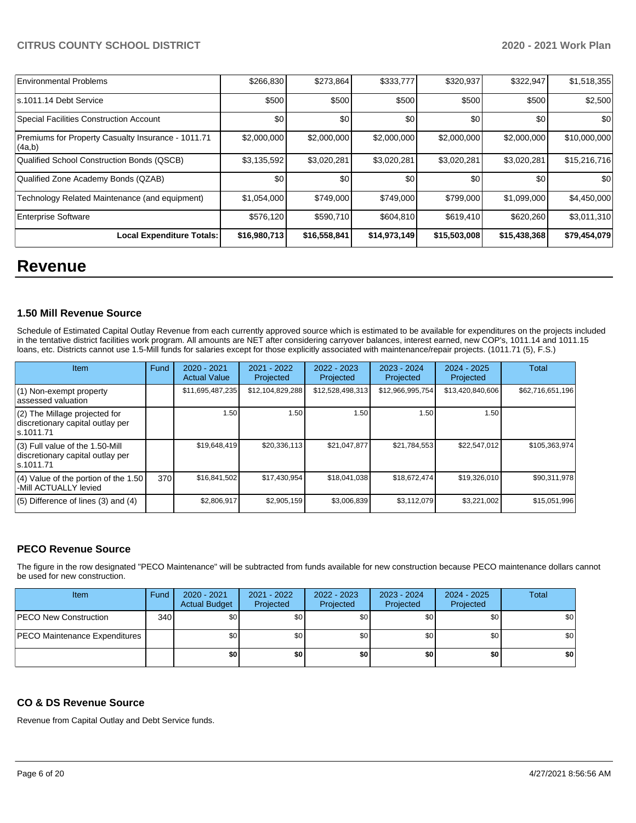| <b>Environmental Problems</b>                                | \$266,830    | \$273,864    | \$333,777    | \$320,937    | \$322,947    | \$1,518,355      |
|--------------------------------------------------------------|--------------|--------------|--------------|--------------|--------------|------------------|
| s.1011.14 Debt Service                                       | \$500        | \$500        | \$500        | \$500        | \$500        | \$2,500          |
| <b>Special Facilities Construction Account</b>               | \$0          | \$0          | \$0          | \$0          | \$0          | \$0              |
| Premiums for Property Casualty Insurance - 1011.71<br>(4a,b) | \$2,000,000  | \$2,000,000  | \$2,000,000  | \$2,000,000  | \$2,000,000  | \$10,000,000     |
| Qualified School Construction Bonds (QSCB)                   | \$3,135,592  | \$3,020,281  | \$3,020,281  | \$3,020,281  | \$3,020,281  | \$15,216,716     |
| Qualified Zone Academy Bonds (QZAB)                          | \$0          | \$0          | \$0          | \$0          | \$0          | \$0 <sub>0</sub> |
| Technology Related Maintenance (and equipment)               | \$1,054,000  | \$749,000    | \$749,000    | \$799,000    | \$1,099,000  | \$4,450,000      |
| <b>Enterprise Software</b>                                   | \$576,120    | \$590,710    | \$604,810    | \$619,410    | \$620,260    | \$3,011,310      |
| Local Expenditure Totals:                                    | \$16,980,713 | \$16,558,841 | \$14,973,149 | \$15,503,008 | \$15,438,368 | \$79,454,079     |

# **Revenue**

#### **1.50 Mill Revenue Source**

Schedule of Estimated Capital Outlay Revenue from each currently approved source which is estimated to be available for expenditures on the projects included in the tentative district facilities work program. All amounts are NET after considering carryover balances, interest earned, new COP's, 1011.14 and 1011.15 loans, etc. Districts cannot use 1.5-Mill funds for salaries except for those explicitly associated with maintenance/repair projects. (1011.71 (5), F.S.)

| Item                                                                                | Fund | $2020 - 2021$<br><b>Actual Value</b> | 2021 - 2022<br>Projected | $2022 - 2023$<br>Projected | 2023 - 2024<br>Projected | $2024 - 2025$<br>Projected | Total            |
|-------------------------------------------------------------------------------------|------|--------------------------------------|--------------------------|----------------------------|--------------------------|----------------------------|------------------|
| (1) Non-exempt property<br>lassessed valuation                                      |      | \$11,695,487,235                     | \$12,104,829,288         | \$12,528,498,313           | \$12,966,995,754         | \$13,420,840,606           | \$62,716,651,196 |
| $(2)$ The Millage projected for<br>discretionary capital outlay per<br>ls.1011.71   |      | 1.50                                 | 1.50                     | 1.50                       | 1.50                     | 1.50                       |                  |
| $(3)$ Full value of the 1.50-Mill<br>discretionary capital outlay per<br>ls.1011.71 |      | \$19,648,419                         | \$20,336,113             | \$21,047,877               | \$21,784,553             | \$22,547,012               | \$105,363,974    |
| $(4)$ Value of the portion of the 1.50<br>-Mill ACTUALLY levied                     | 370  | \$16,841,502                         | \$17,430,954             | \$18,041,038               | \$18,672,474             | \$19,326,010               | \$90,311,978     |
| $(5)$ Difference of lines $(3)$ and $(4)$                                           |      | \$2,806,917                          | \$2,905,159              | \$3,006,839                | \$3.112.079              | \$3,221,002                | \$15,051,996     |

#### **PECO Revenue Source**

The figure in the row designated "PECO Maintenance" will be subtracted from funds available for new construction because PECO maintenance dollars cannot be used for new construction.

| Item                                 | Fund | $2020 - 2021$<br><b>Actual Budget</b> | 2021 - 2022<br>Projected | 2022 - 2023<br>Projected | 2023 - 2024<br>Projected | 2024 - 2025<br>Projected | Total            |
|--------------------------------------|------|---------------------------------------|--------------------------|--------------------------|--------------------------|--------------------------|------------------|
| <b>PECO New Construction</b>         | 340  | \$0                                   | \$0                      | \$0                      | \$0                      | \$0                      | \$0 <sub>1</sub> |
| <b>PECO Maintenance Expenditures</b> |      | \$0                                   | \$٥Ι                     | \$0                      | \$0                      | \$0                      | \$0 <sub>1</sub> |
|                                      |      | \$0                                   | \$0                      | \$0                      | \$0                      | \$0                      | \$0              |

#### **CO & DS Revenue Source**

Revenue from Capital Outlay and Debt Service funds.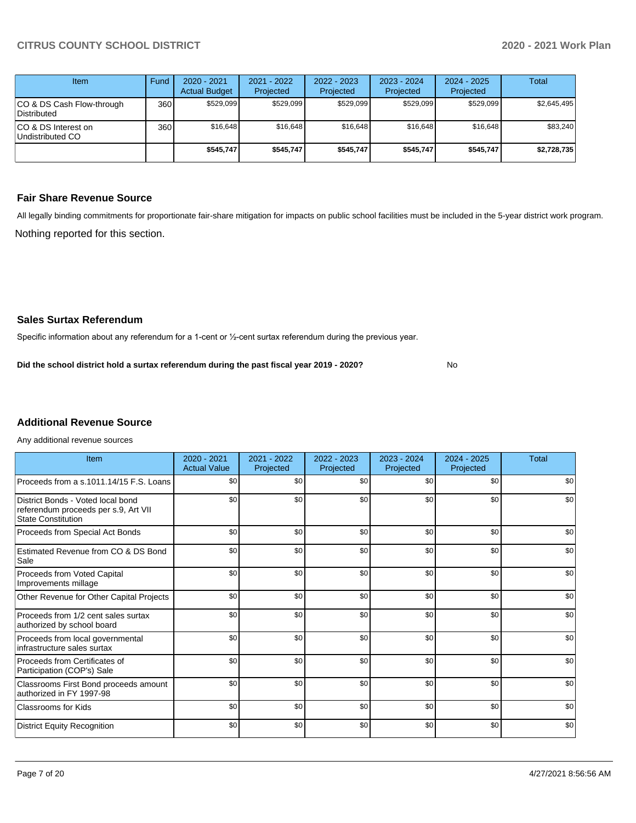| Item                                      | Fund  | $2020 - 2021$<br><b>Actual Budget</b> | 2021 - 2022<br>Projected | $2022 - 2023$<br>Projected | $2023 - 2024$<br>Projected | $2024 - 2025$<br>Projected | Total       |
|-------------------------------------------|-------|---------------------------------------|--------------------------|----------------------------|----------------------------|----------------------------|-------------|
| ICO & DS Cash Flow-through<br>Distributed | 360 l | \$529.099                             | \$529,099                | \$529.099                  | \$529.099                  | \$529.099                  | \$2,645,495 |
| ICO & DS Interest on<br>Undistributed CO  | 360   | \$16,648                              | \$16,648                 | \$16.648                   | \$16,648                   | \$16,648                   | \$83,240    |
|                                           |       | \$545.747                             | \$545.747                | \$545.747                  | \$545.747                  | \$545.747                  | \$2,728,735 |

#### **Fair Share Revenue Source**

Nothing reported for this section. All legally binding commitments for proportionate fair-share mitigation for impacts on public school facilities must be included in the 5-year district work program.

No

#### **Sales Surtax Referendum**

Specific information about any referendum for a 1-cent or ½-cent surtax referendum during the previous year.

**Did the school district hold a surtax referendum during the past fiscal year 2019 - 2020?**

## **Additional Revenue Source**

Any additional revenue sources

| Item                                                                                                   | 2020 - 2021<br><b>Actual Value</b> | 2021 - 2022<br>Projected | 2022 - 2023<br>Projected | 2023 - 2024<br>Projected | $2024 - 2025$<br>Projected | Total |
|--------------------------------------------------------------------------------------------------------|------------------------------------|--------------------------|--------------------------|--------------------------|----------------------------|-------|
| Proceeds from a s.1011.14/15 F.S. Loans                                                                | \$0                                | \$0                      | \$0                      | \$0                      | \$0                        | \$0   |
| District Bonds - Voted local bond<br>referendum proceeds per s.9, Art VII<br><b>State Constitution</b> | \$0                                | \$0                      | \$0                      | \$0                      | \$0                        | \$0   |
| Proceeds from Special Act Bonds                                                                        | \$0                                | \$0                      | \$0                      | \$0                      | \$0                        | \$0   |
| Estimated Revenue from CO & DS Bond<br>Sale                                                            | \$0                                | \$0                      | \$0                      | \$0                      | \$0                        | \$0   |
| Proceeds from Voted Capital<br>Improvements millage                                                    | \$0                                | \$0                      | \$0                      | \$0                      | \$0                        | \$0   |
| Other Revenue for Other Capital Projects                                                               | \$0                                | \$0                      | \$0                      | \$0                      | \$0                        | \$0   |
| Proceeds from 1/2 cent sales surtax<br>authorized by school board                                      | \$0                                | \$0                      | \$0                      | \$0                      | \$0                        | \$0   |
| Proceeds from local governmental<br>infrastructure sales surtax                                        | \$0                                | \$0                      | \$0                      | \$0                      | \$0                        | \$0   |
| Proceeds from Certificates of<br>Participation (COP's) Sale                                            | \$0                                | \$0                      | \$0                      | \$0                      | \$0                        | \$0   |
| Classrooms First Bond proceeds amount<br>authorized in FY 1997-98                                      | \$0                                | \$0                      | \$0                      | \$0                      | \$0                        | \$0   |
| <b>Classrooms for Kids</b>                                                                             | \$0                                | \$0                      | \$0                      | \$0                      | \$0                        | \$0   |
| <b>District Equity Recognition</b>                                                                     | \$0                                | \$0                      | \$0                      | \$0                      | \$0                        | \$0   |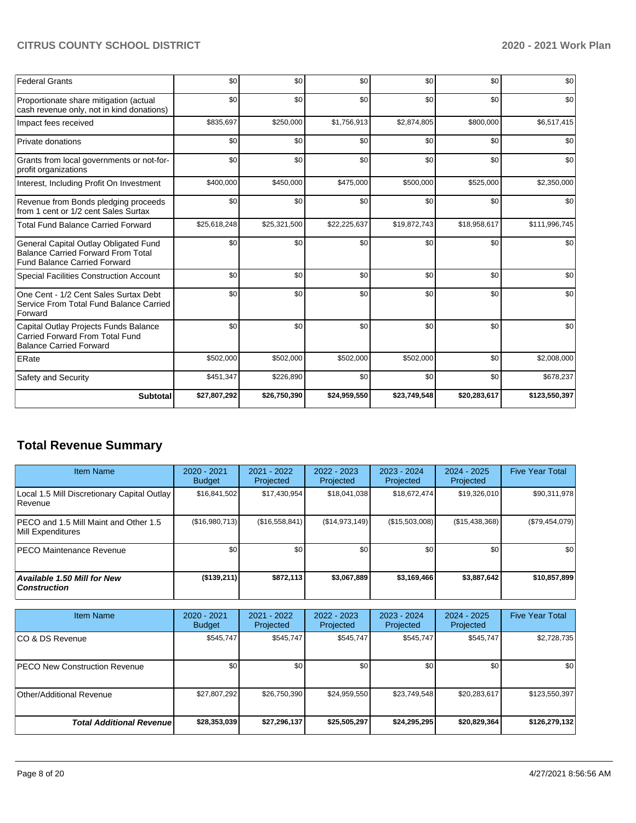| <b>Federal Grants</b>                                                                                                     | \$0          | \$0          | \$0          | \$0          | \$0          | \$0           |
|---------------------------------------------------------------------------------------------------------------------------|--------------|--------------|--------------|--------------|--------------|---------------|
| Proportionate share mitigation (actual<br>cash revenue only, not in kind donations)                                       | \$0          | \$0          | \$0          | \$0          | \$0          | \$0           |
| Impact fees received                                                                                                      | \$835,697    | \$250,000    | \$1,756,913  | \$2,874,805  | \$800,000    | \$6,517,415   |
| Private donations                                                                                                         | \$0          | \$0          | \$0          | \$0          | \$0          | \$0           |
| Grants from local governments or not-for-<br>profit organizations                                                         | \$0          | \$0          | \$0          | \$0          | \$0          | \$0           |
| Interest, Including Profit On Investment                                                                                  | \$400,000    | \$450,000    | \$475,000    | \$500,000    | \$525,000    | \$2,350,000   |
| Revenue from Bonds pledging proceeds<br>from 1 cent or 1/2 cent Sales Surtax                                              | \$0          | \$0          | \$0          | \$0          | \$0          | \$0           |
| <b>Total Fund Balance Carried Forward</b>                                                                                 | \$25,618,248 | \$25,321,500 | \$22,225,637 | \$19,872,743 | \$18,958,617 | \$111,996,745 |
| General Capital Outlay Obligated Fund<br><b>Balance Carried Forward From Total</b><br><b>Fund Balance Carried Forward</b> | \$0          | \$0          | \$0          | \$0          | \$0          | \$0           |
| <b>Special Facilities Construction Account</b>                                                                            | \$0          | \$0          | \$0          | \$0          | \$0          | \$0           |
| One Cent - 1/2 Cent Sales Surtax Debt<br>Service From Total Fund Balance Carried<br>Forward                               | \$0          | \$0          | \$0          | \$0          | \$0          | \$0           |
| Capital Outlay Projects Funds Balance<br>Carried Forward From Total Fund<br><b>Balance Carried Forward</b>                | \$0          | \$0          | \$0          | \$0          | \$0          | \$0           |
| ERate                                                                                                                     | \$502,000    | \$502,000    | \$502,000    | \$502,000    | \$0          | \$2,008,000   |
| Safety and Security                                                                                                       | \$451,347    | \$226,890    | \$0          | \$0          | \$0          | \$678,237     |
| <b>Subtotal</b>                                                                                                           | \$27,807,292 | \$26,750,390 | \$24,959,550 | \$23,749,548 | \$20,283,617 | \$123,550,397 |

# **Total Revenue Summary**

| <b>Item Name</b>                                              | 2020 - 2021<br><b>Budget</b> | $2021 - 2022$<br>Projected | 2022 - 2023<br>Projected | 2023 - 2024<br>Projected | 2024 - 2025<br>Projected | <b>Five Year Total</b> |
|---------------------------------------------------------------|------------------------------|----------------------------|--------------------------|--------------------------|--------------------------|------------------------|
| Local 1.5 Mill Discretionary Capital Outlay<br><b>Revenue</b> | \$16,841,502                 | \$17.430.954               | \$18,041,038             | \$18,672,474             | \$19,326,010             | \$90,311,978           |
| IPECO and 1.5 Mill Maint and Other 1.5<br>Mill Expenditures   | (\$16,980,713)               | (\$16,558,841)             | (\$14,973,149)           | (\$15,503,008)           | (S15, 438, 368)          | (\$79,454,079)         |
| <b>IPECO Maintenance Revenue</b>                              | \$0                          | \$0                        | \$0                      | \$0                      | \$0                      | \$0                    |
| <b>Available 1.50 Mill for New</b><br>  Construction          | (\$139,211)                  | \$872,113                  | \$3,067,889              | \$3,169,466              | \$3,887,642              | \$10,857,899           |

| <b>Item Name</b>                      | 2020 - 2021<br><b>Budget</b> | 2021 - 2022<br>Projected | 2022 - 2023<br>Projected | 2023 - 2024<br>Projected | 2024 - 2025<br>Projected | <b>Five Year Total</b> |
|---------------------------------------|------------------------------|--------------------------|--------------------------|--------------------------|--------------------------|------------------------|
| ICO & DS Revenue                      | \$545,747                    | \$545,747                | \$545,747                | \$545,747                | \$545,747                | \$2,728,735            |
| <b>IPECO New Construction Revenue</b> | \$0 <sub>1</sub>             | \$0 <sub>1</sub>         | \$0                      | \$0                      | \$0                      | \$0                    |
| Other/Additional Revenue              | \$27,807,292                 | \$26,750,390             | \$24,959,550             | \$23,749,548             | \$20,283,617             | \$123,550,397          |
| <b>Total Additional Revenuel</b>      | \$28,353,039                 | \$27,296,137             | \$25,505,297             | \$24,295,295             | \$20,829,364             | \$126,279,132          |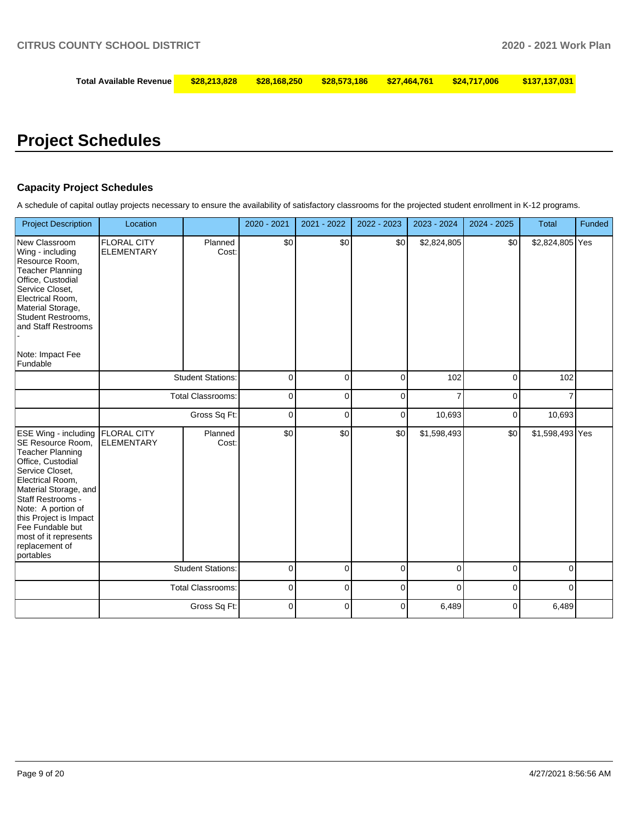| Total Available Revenue   \$28,213,828   \$28,168,250   \$28,573,186   \$27,464,761   \$24,717,006    \$137,137,031 |  |  |  |
|---------------------------------------------------------------------------------------------------------------------|--|--|--|
|                                                                                                                     |  |  |  |

# **Project Schedules**

#### **Capacity Project Schedules**

A schedule of capital outlay projects necessary to ensure the availability of satisfactory classrooms for the projected student enrollment in K-12 programs.

| <b>Project Description</b>                                                                                                                                                                                                                                                                                        | Location                                |                          | 2020 - 2021 | 2021 - 2022 | 2022 - 2023 | 2023 - 2024 | 2024 - 2025 | <b>Total</b>    | Funded |
|-------------------------------------------------------------------------------------------------------------------------------------------------------------------------------------------------------------------------------------------------------------------------------------------------------------------|-----------------------------------------|--------------------------|-------------|-------------|-------------|-------------|-------------|-----------------|--------|
| New Classroom<br>Wing - including<br>Resource Room,<br><b>Teacher Planning</b><br>Office, Custodial<br>Service Closet,<br>Electrical Room,<br>Material Storage,<br>Student Restrooms,<br>and Staff Restrooms<br>Note: Impact Fee<br>Fundable                                                                      | <b>FLORAL CITY</b><br><b>ELEMENTARY</b> | Planned<br>Cost:         | \$0         | \$0         | \$0         | \$2,824,805 | \$0         | \$2,824,805 Yes |        |
|                                                                                                                                                                                                                                                                                                                   |                                         | <b>Student Stations:</b> | 0           | 0           | 0           | 102         | $\mathbf 0$ | 102             |        |
|                                                                                                                                                                                                                                                                                                                   |                                         | <b>Total Classrooms:</b> | 0           | 0           | 0           |             | 0           |                 |        |
|                                                                                                                                                                                                                                                                                                                   |                                         | Gross Sq Ft:             | 0           | 0           | 0           | 10,693      | 0           | 10,693          |        |
| <b>ESE Wing - including</b><br>SE Resource Room,<br><b>Teacher Planning</b><br>Office, Custodial<br>Service Closet,<br>Electrical Room,<br>Material Storage, and<br>Staff Restrooms -<br>Note: A portion of<br>this Project is Impact<br>Fee Fundable but<br>most of it represents<br>replacement of<br>portables | <b>FLORAL CITY</b><br><b>ELEMENTARY</b> | Planned<br>Cost:         | \$0         | \$0         | \$0         | \$1,598,493 | \$0         | \$1,598,493 Yes |        |
|                                                                                                                                                                                                                                                                                                                   |                                         | <b>Student Stations:</b> | 0           | 0           | 0           | 0           | $\mathbf 0$ | 0               |        |
|                                                                                                                                                                                                                                                                                                                   |                                         | <b>Total Classrooms:</b> | 0           | $\Omega$    | 0           | $\Omega$    | $\mathbf 0$ | $\Omega$        |        |
|                                                                                                                                                                                                                                                                                                                   |                                         | Gross Sq Ft:             | $\Omega$    | $\Omega$    | 0           | 6,489       | $\mathbf 0$ | 6,489           |        |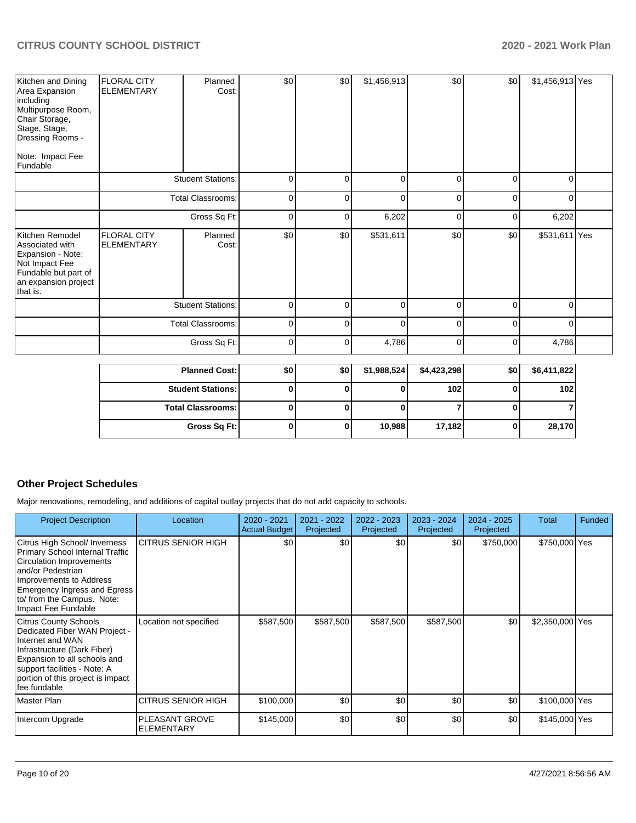| Kitchen and Dining<br>Area Expansion<br>including<br>Multipurpose Room,<br>Chair Storage,<br>Stage, Stage,<br>Dressing Rooms -<br>Note: Impact Fee<br>Fundable | <b>FLORAL CITY</b><br><b>ELEMENTARY</b> | Planned<br>Cost:         | \$0         | \$0 | \$1,456,913 | \$0            | \$0      | \$1,456,913 Yes |  |
|----------------------------------------------------------------------------------------------------------------------------------------------------------------|-----------------------------------------|--------------------------|-------------|-----|-------------|----------------|----------|-----------------|--|
|                                                                                                                                                                |                                         | <b>Student Stations:</b> | $\mathbf 0$ | 0   | $\mathbf 0$ | $\Omega$       | $\Omega$ | 0               |  |
|                                                                                                                                                                |                                         | Total Classrooms:        | $\mathbf 0$ | 0   | $\mathbf 0$ | $\overline{0}$ | $\Omega$ | $\Omega$        |  |
|                                                                                                                                                                |                                         | Gross Sq Ft:             | $\mathbf 0$ | 0   | 6,202       | $\Omega$       | $\Omega$ | 6,202           |  |
| Kitchen Remodel<br>Associated with<br>Expansion - Note:<br>Not Impact Fee<br>Fundable but part of<br>an expansion project<br>that is.                          | <b>FLORAL CITY</b><br><b>ELEMENTARY</b> | Planned<br>Cost:         | \$0         | \$0 | \$531,611   | \$0            | \$0      | \$531,611 Yes   |  |
|                                                                                                                                                                |                                         | <b>Student Stations:</b> | $\Omega$    | 0   | 0           | 0              | $\Omega$ | n               |  |
|                                                                                                                                                                |                                         | Total Classrooms:        | 0           | 0   | $\mathbf 0$ | $\overline{0}$ | $\Omega$ | 0               |  |
|                                                                                                                                                                |                                         | Gross Sq Ft:             | 0           | 0   | 4,786       | $\overline{0}$ | $\Omega$ | 4,786           |  |

| <b>Planned Cost: I</b>   | \$0 | \$0 | \$1,988,524 | \$4,423,298 | \$0 | \$6,411,822 |
|--------------------------|-----|-----|-------------|-------------|-----|-------------|
| <b>Student Stations:</b> |     |     |             | 102         |     | 102         |
| <b>Total Classrooms:</b> |     |     |             |             |     |             |
| Gross Sq Ft:             |     |     | 10,988      | 17,182      |     | 28,170      |

#### **Other Project Schedules**

Major renovations, remodeling, and additions of capital outlay projects that do not add capacity to schools.

| <b>Project Description</b>                                                                                                                                                                                                               | Location                                   | $2020 - 2021$<br><b>Actual Budget</b> | 2021 - 2022<br>Projected | 2022 - 2023<br>Projected | 2023 - 2024<br>Projected | 2024 - 2025<br>Projected | Total           | <b>Funded</b> |
|------------------------------------------------------------------------------------------------------------------------------------------------------------------------------------------------------------------------------------------|--------------------------------------------|---------------------------------------|--------------------------|--------------------------|--------------------------|--------------------------|-----------------|---------------|
| Citrus High School/ Inverness<br>Primary School Internal Traffic<br><b>Circulation Improvements</b><br>and/or Pedestrian<br>Improvements to Address<br>Emergency Ingress and Egress<br>to/ from the Campus. Note:<br>Impact Fee Fundable | <b>CITRUS SENIOR HIGH</b>                  | \$0                                   | \$0                      | \$0                      | \$0                      | \$750,000                | \$750,000 Yes   |               |
| <b>Citrus County Schools</b><br>Dedicated Fiber WAN Project -<br>Internet and WAN<br>Infrastructure (Dark Fiber)<br>Expansion to all schools and<br>support facilities - Note: A<br>portion of this project is impact<br>fee fundable    | Location not specified                     | \$587,500                             | \$587,500                | \$587,500                | \$587,500                | \$0                      | \$2,350,000 Yes |               |
| Master Plan                                                                                                                                                                                                                              | <b>CITRUS SENIOR HIGH</b>                  | \$100,000                             | \$0                      | \$0                      | \$0                      | \$0                      | \$100,000 Yes   |               |
| Intercom Upgrade                                                                                                                                                                                                                         | <b>PLEASANT GROVE</b><br><b>ELEMENTARY</b> | \$145,000                             | \$0                      | \$0                      | \$0                      | \$0                      | \$145,000 Yes   |               |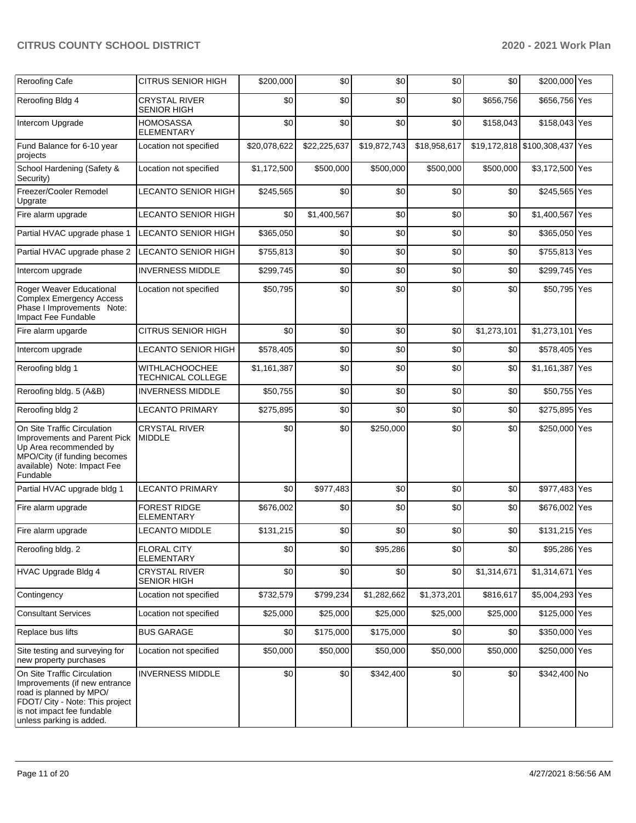| Reroofing Cafe                                                                                                                                                                       | <b>CITRUS SENIOR HIGH</b>                                   | \$200,000    | \$0          | \$0          | \$0          | \$0         | \$200,000 Yes                  |  |
|--------------------------------------------------------------------------------------------------------------------------------------------------------------------------------------|-------------------------------------------------------------|--------------|--------------|--------------|--------------|-------------|--------------------------------|--|
| Reroofing Bldg 4                                                                                                                                                                     | <b>CRYSTAL RIVER</b>                                        | \$0          | \$0          | \$0          | \$0          | \$656,756   | \$656,756 Yes                  |  |
| Intercom Upgrade                                                                                                                                                                     | <b>SENIOR HIGH</b><br><b>HOMOSASSA</b><br><b>ELEMENTARY</b> | \$0          | \$0          | \$0          | \$0          | \$158,043   | \$158,043 Yes                  |  |
| Fund Balance for 6-10 year<br>projects                                                                                                                                               | Location not specified                                      | \$20,078,622 | \$22,225,637 | \$19,872,743 | \$18,958,617 |             | \$19,172,818 \$100,308,437 Yes |  |
| School Hardening (Safety &<br>Security)                                                                                                                                              | Location not specified                                      | \$1,172,500  | \$500,000    | \$500,000    | \$500,000    | \$500,000   | \$3,172,500 Yes                |  |
| Freezer/Cooler Remodel<br>Upgrate                                                                                                                                                    | <b>LECANTO SENIOR HIGH</b>                                  | \$245,565    | \$0          | \$0          | \$0          | \$0         | \$245,565 Yes                  |  |
| Fire alarm upgrade                                                                                                                                                                   | <b>LECANTO SENIOR HIGH</b>                                  | \$0          | \$1,400,567  | \$0          | \$0          | \$0         | \$1,400,567 Yes                |  |
| Partial HVAC upgrade phase 1                                                                                                                                                         | <b>LECANTO SENIOR HIGH</b>                                  | \$365,050    | \$0          | \$0          | \$0          | \$0         | \$365,050 Yes                  |  |
| Partial HVAC upgrade phase 2                                                                                                                                                         | <b>LECANTO SENIOR HIGH</b>                                  | \$755,813    | \$0          | \$0          | \$0          | \$0         | \$755,813 Yes                  |  |
| Intercom upgrade                                                                                                                                                                     | <b>INVERNESS MIDDLE</b>                                     | \$299,745    | \$0          | \$0          | \$0          | \$0         | \$299,745 Yes                  |  |
| Roger Weaver Educational<br><b>Complex Emergency Access</b><br>Phase I Improvements Note:<br>Impact Fee Fundable                                                                     | Location not specified                                      | \$50,795     | \$0          | \$0          | \$0          | \$0         | \$50,795 Yes                   |  |
| Fire alarm upgarde                                                                                                                                                                   | <b>CITRUS SENIOR HIGH</b>                                   | \$0          | \$0          | \$0          | \$0          | \$1,273,101 | \$1,273,101 Yes                |  |
| Intercom upgrade                                                                                                                                                                     | LECANTO SENIOR HIGH                                         | \$578,405    | \$0          | \$0          | \$0          | \$0         | \$578,405 Yes                  |  |
| Reroofing bldg 1                                                                                                                                                                     | <b>WITHLACHOOCHEE</b><br>TECHNICAL COLLEGE                  | \$1,161,387  | \$0          | \$0          | \$0          | \$0         | \$1,161,387 Yes                |  |
| Reroofing bldg. 5 (A&B)                                                                                                                                                              | <b>INVERNESS MIDDLE</b>                                     | \$50,755     | \$0          | \$0          | \$0          | \$0         | \$50,755 Yes                   |  |
| Reroofing bldg 2                                                                                                                                                                     | <b>LECANTO PRIMARY</b>                                      | \$275,895    | \$0          | \$0          | \$0          | \$0         | \$275,895 Yes                  |  |
| On Site Traffic Circulation<br>Improvements and Parent Pick<br>Up Area recommended by<br>MPO/City (if funding becomes<br>available) Note: Impact Fee<br>Fundable                     | <b>CRYSTAL RIVER</b><br><b>MIDDLE</b>                       | \$0          | \$0          | \$250,000    | \$0          | \$0         | \$250,000 Yes                  |  |
| Partial HVAC upgrade bldg 1                                                                                                                                                          | <b>LECANTO PRIMARY</b>                                      | \$0          | \$977,483    | \$0          | \$0          | \$0         | \$977,483 Yes                  |  |
| Fire alarm upgrade                                                                                                                                                                   | <b>FOREST RIDGE</b><br><b>ELEMENTARY</b>                    | \$676,002    | \$0          | \$0          | \$0          | \$0         | \$676,002 Yes                  |  |
| Fire alarm upgrade                                                                                                                                                                   | <b>LECANTO MIDDLE</b>                                       | \$131,215    | \$0          | \$0          | \$0          | \$0         | \$131,215 Yes                  |  |
| Reroofing bldg. 2                                                                                                                                                                    | <b>FLORAL CITY</b><br><b>ELEMENTARY</b>                     | \$0          | \$0          | \$95,286     | \$0          | \$0         | \$95,286 Yes                   |  |
| HVAC Upgrade Bldg 4                                                                                                                                                                  | <b>CRYSTAL RIVER</b><br><b>SENIOR HIGH</b>                  | \$0          | \$0          | \$0          | \$0          | \$1,314,671 | \$1,314,671 Yes                |  |
| Contingency                                                                                                                                                                          | Location not specified                                      | \$732,579    | \$799,234    | \$1,282,662  | \$1,373,201  | \$816,617   | \$5,004,293 Yes                |  |
| <b>Consultant Services</b>                                                                                                                                                           | Location not specified                                      | \$25,000     | \$25,000     | \$25,000     | \$25,000     | \$25,000    | \$125,000 Yes                  |  |
| Replace bus lifts                                                                                                                                                                    | <b>BUS GARAGE</b>                                           | \$0          | \$175,000    | \$175,000    | \$0          | \$0         | \$350,000 Yes                  |  |
| Site testing and surveying for<br>new property purchases                                                                                                                             | Location not specified                                      | \$50,000     | \$50,000     | \$50,000     | \$50,000     | \$50,000    | \$250,000 Yes                  |  |
| On Site Traffic Circulation<br>Improvements (if new entrance<br>road is planned by MPO/<br>FDOT/ City - Note: This project<br>is not impact fee fundable<br>unless parking is added. | <b>INVERNESS MIDDLE</b>                                     | \$0          | \$0          | \$342,400    | \$0          | \$0         | \$342,400 No                   |  |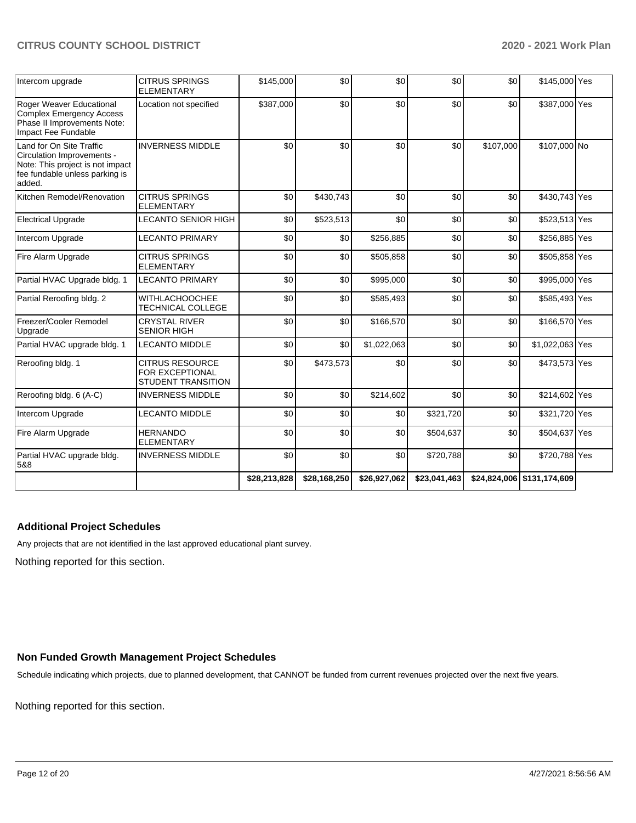| Intercom upgrade                                                                                                                       | <b>CITRUS SPRINGS</b><br><b>ELEMENTARY</b>                             | \$145,000    | \$0          | \$0          | \$0          | \$0       | \$145,000 Yes              |  |
|----------------------------------------------------------------------------------------------------------------------------------------|------------------------------------------------------------------------|--------------|--------------|--------------|--------------|-----------|----------------------------|--|
| Roger Weaver Educational<br><b>Complex Emergency Access</b><br>Phase II Improvements Note:<br>Impact Fee Fundable                      | Location not specified                                                 | \$387,000    | \$0          | \$0          | \$0          | \$0       | \$387,000 Yes              |  |
| Land for On Site Traffic<br>Circulation Improvements -<br>Note: This project is not impact<br>fee fundable unless parking is<br>added. | <b>INVERNESS MIDDLE</b>                                                | \$0          | \$0          | \$0          | \$0          | \$107,000 | \$107,000 No               |  |
| Kitchen Remodel/Renovation                                                                                                             | <b>CITRUS SPRINGS</b><br><b>ELEMENTARY</b>                             | \$0          | \$430,743    | \$0          | \$0          | \$0       | \$430,743 Yes              |  |
| <b>Electrical Upgrade</b>                                                                                                              | <b>LECANTO SENIOR HIGH</b>                                             | \$0          | \$523,513    | \$0          | \$0          | \$0       | \$523,513 Yes              |  |
| Intercom Upgrade                                                                                                                       | <b>LECANTO PRIMARY</b>                                                 | \$0          | \$0          | \$256,885    | \$0          | \$0       | \$256,885 Yes              |  |
| Fire Alarm Upgrade                                                                                                                     | <b>CITRUS SPRINGS</b><br><b>ELEMENTARY</b>                             | \$0          | \$0          | \$505,858    | \$0          | \$0       | \$505,858 Yes              |  |
| Partial HVAC Upgrade bldg. 1                                                                                                           | <b>LECANTO PRIMARY</b>                                                 | \$0          | \$0          | \$995,000    | \$0          | \$0       | \$995,000 Yes              |  |
| Partial Reroofing bldg. 2                                                                                                              | <b>WITHLACHOOCHEE</b><br><b>TECHNICAL COLLEGE</b>                      | \$0          | \$0          | \$585,493    | \$0          | \$0       | \$585,493 Yes              |  |
| Freezer/Cooler Remodel<br>Upgrade                                                                                                      | <b>CRYSTAL RIVER</b><br><b>SENIOR HIGH</b>                             | \$0          | \$0          | \$166,570    | \$0          | \$0       | \$166,570 Yes              |  |
| Partial HVAC upgrade bldg. 1                                                                                                           | <b>LECANTO MIDDLE</b>                                                  | \$0          | \$0          | \$1,022,063  | \$0          | \$0       | \$1,022,063 Yes            |  |
| Reroofing bldg. 1                                                                                                                      | <b>CITRUS RESOURCE</b><br>FOR EXCEPTIONAL<br><b>STUDENT TRANSITION</b> | \$0          | \$473,573    | \$0          | \$0          | \$0       | \$473,573 Yes              |  |
| Reroofing bldg. 6 (A-C)                                                                                                                | <b>INVERNESS MIDDLE</b>                                                | \$0          | \$0          | \$214,602    | \$0          | \$0       | \$214,602 Yes              |  |
| Intercom Upgrade                                                                                                                       | <b>LECANTO MIDDLE</b>                                                  | \$0          | \$0          | \$0          | \$321,720    | \$0       | \$321,720 Yes              |  |
| Fire Alarm Upgrade                                                                                                                     | <b>HERNANDO</b><br><b>ELEMENTARY</b>                                   | \$0          | \$0          | \$0          | \$504,637    | \$0       | \$504,637 Yes              |  |
| Partial HVAC upgrade bldg.<br>5&8                                                                                                      | <b>INVERNESS MIDDLE</b>                                                | \$0          | \$0          | \$0          | \$720,788    | \$0       | \$720,788 Yes              |  |
|                                                                                                                                        |                                                                        | \$28,213,828 | \$28,168,250 | \$26,927,062 | \$23,041,463 |           | \$24,824,006 \$131,174,609 |  |

## **Additional Project Schedules**

Any projects that are not identified in the last approved educational plant survey.

Nothing reported for this section.

#### **Non Funded Growth Management Project Schedules**

Schedule indicating which projects, due to planned development, that CANNOT be funded from current revenues projected over the next five years.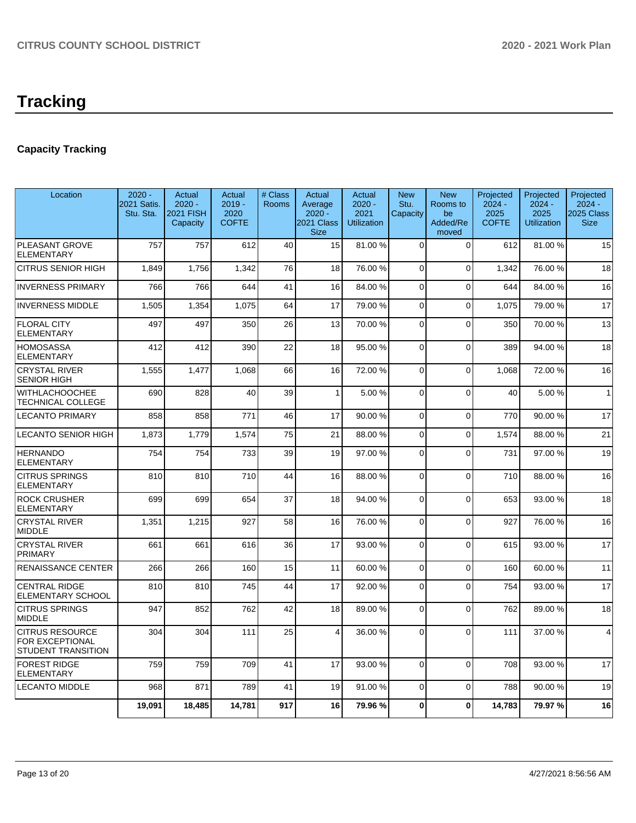# **Capacity Tracking**

| Location                                                               | $2020 -$<br>2021 Satis.<br>Stu. Sta. | Actual<br>$2020 -$<br><b>2021 FISH</b><br>Capacity | Actual<br>$2019 -$<br>2020<br><b>COFTE</b> | # Class<br><b>Rooms</b> | Actual<br>Average<br>$2020 -$<br>2021 Class<br><b>Size</b> | Actual<br>$2020 -$<br>2021<br><b>Utilization</b> | <b>New</b><br>Stu.<br>Capacity | <b>New</b><br>Rooms to<br>be<br>Added/Re<br>moved | Projected<br>$2024 -$<br>2025<br><b>COFTE</b> | Projected<br>$2024 -$<br>2025<br><b>Utilization</b> | Projected<br>$2024 -$<br>2025 Class<br><b>Size</b> |
|------------------------------------------------------------------------|--------------------------------------|----------------------------------------------------|--------------------------------------------|-------------------------|------------------------------------------------------------|--------------------------------------------------|--------------------------------|---------------------------------------------------|-----------------------------------------------|-----------------------------------------------------|----------------------------------------------------|
| PLEASANT GROVE<br><b>ELEMENTARY</b>                                    | 757                                  | 757                                                | 612                                        | 40                      | 15                                                         | 81.00%                                           | $\Omega$                       | $\Omega$                                          | 612                                           | 81.00%                                              | 15                                                 |
| <b>CITRUS SENIOR HIGH</b>                                              | 1,849                                | 1,756                                              | 1,342                                      | 76                      | 18                                                         | 76.00 %                                          | $\Omega$                       | $\Omega$                                          | 1,342                                         | 76.00 %                                             | 18                                                 |
| <b>INVERNESS PRIMARY</b>                                               | 766                                  | 766                                                | 644                                        | 41                      | 16                                                         | 84.00%                                           | $\mathbf{0}$                   | $\Omega$                                          | 644                                           | 84.00%                                              | 16                                                 |
| <b>INVERNESS MIDDLE</b>                                                | 1,505                                | 1,354                                              | 1,075                                      | 64                      | 17                                                         | 79.00 %                                          | $\mathbf 0$                    | 0                                                 | 1,075                                         | 79.00 %                                             | 17                                                 |
| <b>FLORAL CITY</b><br>ELEMENTARY                                       | 497                                  | 497                                                | 350                                        | 26                      | 13                                                         | 70.00%                                           | $\Omega$                       | $\Omega$                                          | 350                                           | 70.00 %                                             | 13                                                 |
| <b>HOMOSASSA</b><br>ELEMENTARY                                         | 412                                  | 412                                                | 390                                        | 22                      | 18                                                         | 95.00 %                                          | $\Omega$                       | $\Omega$                                          | 389                                           | 94.00%                                              | 18                                                 |
| <b>CRYSTAL RIVER</b><br><b>SENIOR HIGH</b>                             | 1,555                                | 1,477                                              | 1,068                                      | 66                      | 16                                                         | 72.00 %                                          | $\mathbf 0$                    | $\mathbf 0$                                       | 1,068                                         | 72.00 %                                             | 16                                                 |
| <b>WITHLACHOOCHEE</b><br><b>TECHNICAL COLLEGE</b>                      | 690                                  | 828                                                | 40                                         | 39                      | $\mathbf{1}$                                               | 5.00 %                                           | $\Omega$                       | $\Omega$                                          | 40                                            | 5.00 %                                              | $\mathbf{1}$                                       |
| <b>LECANTO PRIMARY</b>                                                 | 858                                  | 858                                                | 771                                        | 46                      | 17                                                         | 90.00%                                           | $\Omega$                       | $\mathbf{0}$                                      | 770                                           | 90.00%                                              | 17                                                 |
| <b>LECANTO SENIOR HIGH</b>                                             | 1.873                                | 1.779                                              | 1.574                                      | 75                      | 21                                                         | 88.00 %                                          | $\Omega$                       | $\Omega$                                          | 1.574                                         | 88.00 %                                             | 21                                                 |
| <b>HERNANDO</b><br><b>ELEMENTARY</b>                                   | 754                                  | 754                                                | 733                                        | 39                      | 19                                                         | 97.00 %                                          | $\Omega$                       | $\Omega$                                          | 731                                           | 97.00 %                                             | 19                                                 |
| <b>CITRUS SPRINGS</b><br>ELEMENTARY                                    | 810                                  | 810                                                | 710                                        | 44                      | 16                                                         | 88.00 %                                          | $\Omega$                       | $\mathbf 0$                                       | 710                                           | 88.00 %                                             | 16                                                 |
| <b>ROCK CRUSHER</b><br>ELEMENTARY                                      | 699                                  | 699                                                | 654                                        | 37                      | 18                                                         | 94.00%                                           | $\Omega$                       | $\mathbf{0}$                                      | 653                                           | 93.00 %                                             | 18                                                 |
| <b>CRYSTAL RIVER</b><br><b>MIDDLE</b>                                  | 1,351                                | 1,215                                              | 927                                        | 58                      | 16                                                         | 76.00%                                           | $\Omega$                       | $\Omega$                                          | 927                                           | 76.00 %                                             | 16                                                 |
| <b>CRYSTAL RIVER</b><br><b>PRIMARY</b>                                 | 661                                  | 661                                                | 616                                        | 36                      | 17                                                         | 93.00 %                                          | $\Omega$                       | $\Omega$                                          | 615                                           | 93.00 %                                             | 17                                                 |
| <b>RENAISSANCE CENTER</b>                                              | 266                                  | 266                                                | 160                                        | 15                      | 11                                                         | 60.00%                                           | $\Omega$                       | $\mathbf{0}$                                      | 160                                           | 60.00%                                              | 11                                                 |
| <b>CENTRAL RIDGE</b><br>ELEMENTARY SCHOOL                              | 810                                  | 810                                                | 745                                        | 44                      | 17                                                         | 92.00%                                           | $\Omega$                       | $\Omega$                                          | 754                                           | 93.00 %                                             | 17                                                 |
| <b>CITRUS SPRINGS</b><br><b>MIDDLE</b>                                 | 947                                  | 852                                                | 762                                        | 42                      | 18                                                         | 89.00 %                                          | $\Omega$                       | $\Omega$                                          | 762                                           | 89.00 %                                             | 18                                                 |
| <b>CITRUS RESOURCE</b><br>FOR EXCEPTIONAL<br><b>STUDENT TRANSITION</b> | 304                                  | 304                                                | 111                                        | 25                      | 4                                                          | 36.00 %                                          | $\Omega$                       | $\Omega$                                          | 111                                           | 37.00 %                                             | $\overline{4}$                                     |
| <b>FOREST RIDGE</b><br><b>ELEMENTARY</b>                               | 759                                  | 759                                                | 709                                        | 41                      | 17                                                         | 93.00 %                                          | $\Omega$                       | $\Omega$                                          | 708                                           | 93.00 %                                             | 17                                                 |
| <b>LECANTO MIDDLE</b>                                                  | 968                                  | 871                                                | 789                                        | 41                      | 19                                                         | 91.00%                                           | $\Omega$                       | $\mathbf{0}$                                      | 788                                           | 90.00 %                                             | 19                                                 |
|                                                                        | 19,091                               | 18,485                                             | 14,781                                     | 917                     | 16                                                         | 79.96%                                           | $\Omega$                       | $\mathbf{0}$                                      | 14,783                                        | 79.97 %                                             | 16                                                 |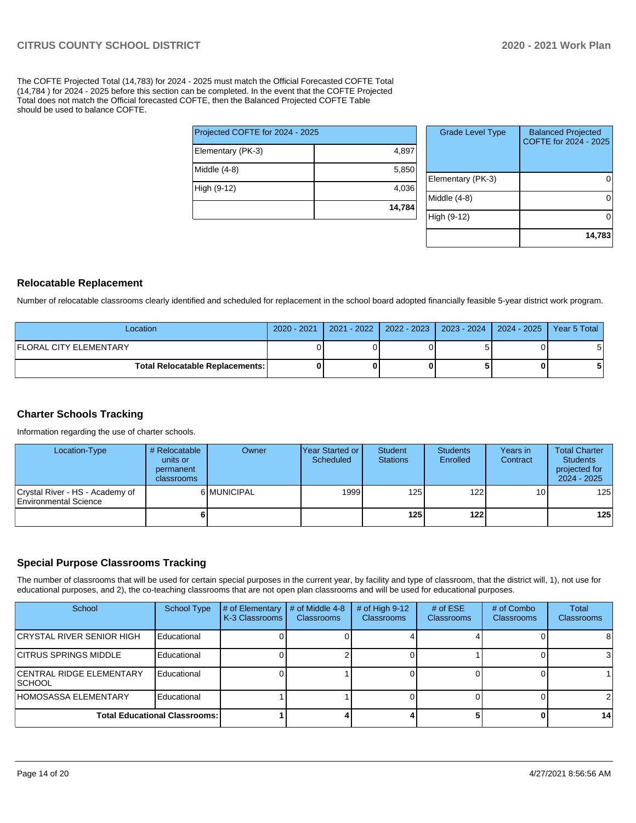The COFTE Projected Total (14,783) for 2024 - 2025 must match the Official Forecasted COFTE Total (14,784 ) for 2024 - 2025 before this section can be completed. In the event that the COFTE Projected Total does not match the Official forecasted COFTE, then the Balanced Projected COFTE Table should be used to balance COFTE.

|                                 | 14,784 |
|---------------------------------|--------|
| High (9-12)                     | 4,036  |
| Middle (4-8)                    | 5,850  |
| Elementary (PK-3)               | 4,897  |
| Projected COFTE for 2024 - 2025 |        |

| <b>Grade Level Type</b> | <b>Balanced Projected</b><br>COFTE for 2024 - 2025 |
|-------------------------|----------------------------------------------------|
| Elementary (PK-3)       |                                                    |
| Middle (4-8)            |                                                    |
| High (9-12)             |                                                    |
|                         | 14,783                                             |

#### **Relocatable Replacement**

Number of relocatable classrooms clearly identified and scheduled for replacement in the school board adopted financially feasible 5-year district work program.

| Location                                 | 2020 - 2021 | 2021 - 2022   2022 - 2023   2023 - 2024   2024 - 2025   Year 5 Total |  |  |
|------------------------------------------|-------------|----------------------------------------------------------------------|--|--|
| <b>IFLORAL CITY ELEMENTARY</b>           |             |                                                                      |  |  |
| <b>Total Relocatable Replacements: I</b> |             |                                                                      |  |  |

#### **Charter Schools Tracking**

Information regarding the use of charter schools.

| Location-Type                                            | # Relocatable<br>units or<br>permanent<br>classrooms | Owner       | IYear Started or<br>Scheduled | Student<br><b>Stations</b> | <b>Students</b><br>Enrolled | Years in<br>Contract | <b>Total Charter</b><br><b>Students</b><br>projected for<br>2024 - 2025 |
|----------------------------------------------------------|------------------------------------------------------|-------------|-------------------------------|----------------------------|-----------------------------|----------------------|-------------------------------------------------------------------------|
| Crystal River - HS - Academy of<br>Environmental Science |                                                      | 6 MUNICIPAL | 1999                          | 125                        | 122 <sub>l</sub>            | 10 <sup>1</sup>      | 125                                                                     |
|                                                          |                                                      |             |                               | 125                        | 122 l                       |                      | 125                                                                     |

#### **Special Purpose Classrooms Tracking**

The number of classrooms that will be used for certain special purposes in the current year, by facility and type of classroom, that the district will, 1), not use for educational purposes, and 2), the co-teaching classrooms that are not open plan classrooms and will be used for educational purposes.

| School                               | School Type | # of Elementary<br>K-3 Classrooms | # of Middle 4-8<br><b>Classrooms</b> | # of High $9-12$<br><b>Classrooms</b> | # of $ESE$<br><b>Classrooms</b> | # of Combo<br><b>Classrooms</b> | Total<br><b>Classrooms</b> |
|--------------------------------------|-------------|-----------------------------------|--------------------------------------|---------------------------------------|---------------------------------|---------------------------------|----------------------------|
| ICRYSTAL RIVER SENIOR HIGH           | Educational |                                   |                                      |                                       |                                 |                                 | 81                         |
| ICITRUS SPRINGS MIDDLE               | Educational |                                   |                                      |                                       |                                 |                                 | 31                         |
| ICENTRAL RIDGE ELEMENTARY<br> SCHOOL | Educational |                                   |                                      |                                       |                                 |                                 |                            |
| HOMOSASSA ELEMENTARY                 | Educational |                                   |                                      |                                       |                                 |                                 | 21                         |
| <b>Total Educational Classrooms:</b> |             |                                   |                                      |                                       |                                 |                                 | 14                         |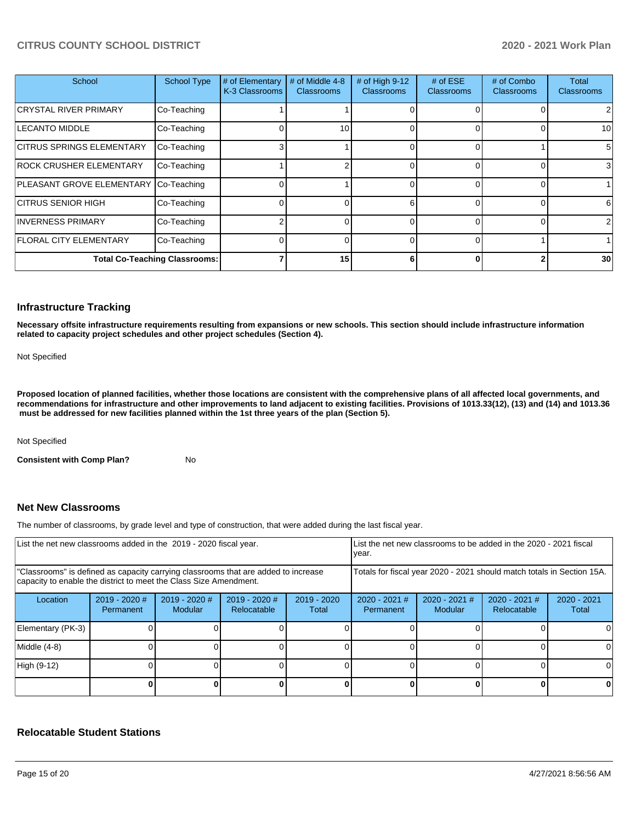| School                                | <b>School Type</b> | # of Elementary<br>K-3 Classrooms | # of Middle 4-8<br><b>Classrooms</b> | # of High 9-12<br><b>Classrooms</b> | # of $ESE$<br><b>Classrooms</b> | # of Combo<br><b>Classrooms</b> | Total<br><b>Classrooms</b> |
|---------------------------------------|--------------------|-----------------------------------|--------------------------------------|-------------------------------------|---------------------------------|---------------------------------|----------------------------|
| <b>CRYSTAL RIVER PRIMARY</b>          | Co-Teaching        |                                   |                                      |                                     |                                 |                                 |                            |
| <b>LECANTO MIDDLE</b>                 | Co-Teaching        |                                   | 10                                   |                                     |                                 |                                 | 10                         |
| <b>ICITRUS SPRINGS ELEMENTARY</b>     | Co-Teaching        |                                   |                                      |                                     |                                 |                                 | 5                          |
| <b>ROCK CRUSHER ELEMENTARY</b>        | Co-Teaching        |                                   | ่                                    |                                     |                                 |                                 |                            |
| PLEASANT GROVE ELEMENTARY Co-Teaching |                    |                                   |                                      |                                     |                                 |                                 |                            |
| ICITRUS SENIOR HIGH                   | Co-Teaching        |                                   |                                      | 6                                   |                                 |                                 | 6                          |
| <b>INVERNESS PRIMARY</b>              | Co-Teaching        |                                   |                                      |                                     |                                 |                                 |                            |
| <b>FLORAL CITY ELEMENTARY</b>         | Co-Teaching        |                                   |                                      | $\Omega$                            |                                 |                                 |                            |
| <b>Total Co-Teaching Classrooms:</b>  |                    |                                   | 15                                   | 6                                   |                                 |                                 | 30                         |

#### **Infrastructure Tracking**

**Necessary offsite infrastructure requirements resulting from expansions or new schools. This section should include infrastructure information related to capacity project schedules and other project schedules (Section 4).** 

Not Specified

**Proposed location of planned facilities, whether those locations are consistent with the comprehensive plans of all affected local governments, and recommendations for infrastructure and other improvements to land adjacent to existing facilities. Provisions of 1013.33(12), (13) and (14) and 1013.36 must be addressed for new facilities planned within the 1st three years of the plan (Section 5).** 

Not Specified

**Consistent with Comp Plan?** No

#### **Net New Classrooms**

The number of classrooms, by grade level and type of construction, that were added during the last fiscal year.

| List the net new classrooms added in the 2019 - 2020 fiscal year.                                                                                       |                              |                                   |                                | year.                                                                  |                              | List the net new classrooms to be added in the 2020 - 2021 fiscal |                                |                        |
|---------------------------------------------------------------------------------------------------------------------------------------------------------|------------------------------|-----------------------------------|--------------------------------|------------------------------------------------------------------------|------------------------------|-------------------------------------------------------------------|--------------------------------|------------------------|
| 'Classrooms" is defined as capacity carrying classrooms that are added to increase<br>capacity to enable the district to meet the Class Size Amendment. |                              |                                   |                                | Totals for fiscal year 2020 - 2021 should match totals in Section 15A. |                              |                                                                   |                                |                        |
| Location                                                                                                                                                | $2019 - 2020$ #<br>Permanent | $2019 - 2020$ #<br><b>Modular</b> | $2019 - 2020$ #<br>Relocatable | $2019 - 2020$<br>Total                                                 | $2020 - 2021$ #<br>Permanent | $2020 - 2021$ #<br>Modular                                        | $2020 - 2021$ #<br>Relocatable | $2020 - 2021$<br>Total |
| Elementary (PK-3)                                                                                                                                       |                              |                                   |                                |                                                                        |                              |                                                                   |                                |                        |
| Middle (4-8)                                                                                                                                            |                              |                                   |                                |                                                                        |                              |                                                                   |                                |                        |
| High (9-12)                                                                                                                                             |                              |                                   |                                |                                                                        |                              |                                                                   |                                | ΩI                     |
|                                                                                                                                                         |                              |                                   |                                |                                                                        |                              |                                                                   |                                |                        |

#### **Relocatable Student Stations**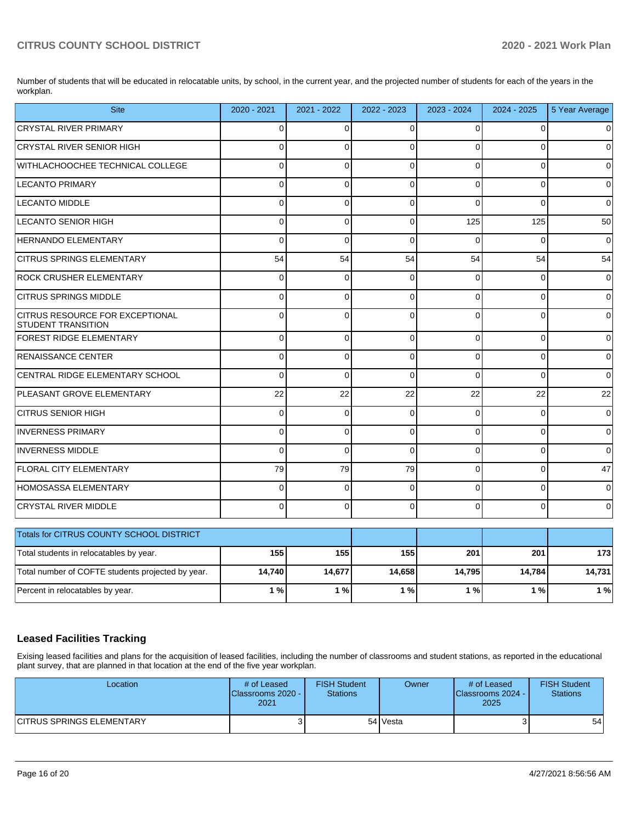Number of students that will be educated in relocatable units, by school, in the current year, and the projected number of students for each of the years in the workplan.

| <b>Site</b>                                                         | 2020 - 2021 | 2021 - 2022    | 2022 - 2023  | 2023 - 2024 | 2024 - 2025 | 5 Year Average |
|---------------------------------------------------------------------|-------------|----------------|--------------|-------------|-------------|----------------|
| <b>CRYSTAL RIVER PRIMARY</b>                                        | $\Omega$    | $\Omega$       | $\Omega$     | $\Omega$    | $\Omega$    | $\Omega$       |
| CRYSTAL RIVER SENIOR HIGH                                           | $\Omega$    | $\Omega$       | $\Omega$     | $\Omega$    | $\Omega$    | $\Omega$       |
| WITHLACHOOCHEE TECHNICAL COLLEGE                                    | $\Omega$    | $\Omega$       | $\Omega$     | $\Omega$    | $\Omega$    | $\Omega$       |
| <b>LECANTO PRIMARY</b>                                              | 0           | 0              | $\Omega$     | $\Omega$    | $\Omega$    | 0              |
| <b>LECANTO MIDDLE</b>                                               | $\Omega$    | $\Omega$       | $\mathbf{0}$ | $\Omega$    | $\Omega$    | $\Omega$       |
| <b>LECANTO SENIOR HIGH</b>                                          | $\Omega$    | 0              | 0            | 125         | 125         | 50             |
| <b>HERNANDO ELEMENTARY</b>                                          | $\Omega$    | $\Omega$       | $\Omega$     | $\Omega$    | $\Omega$    | $\Omega$       |
| <b>CITRUS SPRINGS ELEMENTARY</b>                                    | 54          | 54             | 54           | 54          | 54          | 54             |
| ROCK CRUSHER ELEMENTARY                                             | 0           | $\Omega$       | $\Omega$     | $\Omega$    | $\Omega$    | $\Omega$       |
| <b>CITRUS SPRINGS MIDDLE</b>                                        | $\Omega$    | $\Omega$       | $\Omega$     | $\Omega$    | $\Omega$    | $\Omega$       |
| <b>CITRUS RESOURCE FOR EXCEPTIONAL</b><br><b>STUDENT TRANSITION</b> | $\Omega$    | $\overline{0}$ | $\Omega$     | $\Omega$    | $\Omega$    | 0              |
| FOREST RIDGE ELEMENTARY                                             | $\Omega$    | $\Omega$       | $\mathbf{0}$ | $\Omega$    | $\Omega$    | $\Omega$       |
| <b>RENAISSANCE CENTER</b>                                           | $\Omega$    | $\Omega$       | $\Omega$     | $\Omega$    | $\Omega$    | $\mathbf 0$    |
| CENTRAL RIDGE ELEMENTARY SCHOOL                                     | $\Omega$    | $\Omega$       | $\Omega$     | $\Omega$    | $\Omega$    | $\Omega$       |
| PLEASANT GROVE ELEMENTARY                                           | 22          | 22             | 22           | 22          | 22          | 22             |
| <b>CITRUS SENIOR HIGH</b>                                           | $\Omega$    | 0              | $\Omega$     | $\Omega$    | $\Omega$    | $\mathbf{0}$   |
| <b>INVERNESS PRIMARY</b>                                            | 0           | $\Omega$       | $\Omega$     | $\Omega$    | 0           | $\Omega$       |
| <b>INVERNESS MIDDLE</b>                                             | $\Omega$    | $\Omega$       | $\mathbf{0}$ | $\Omega$    | $\Omega$    | $\Omega$       |
| <b>FLORAL CITY ELEMENTARY</b>                                       | 79          | 79             | 79           | $\Omega$    | $\Omega$    | 47             |
| <b>HOMOSASSA ELEMENTARY</b>                                         | $\Omega$    | $\Omega$       | $\mathbf{0}$ | $\Omega$    | $\Omega$    | $\Omega$       |
| <b>CRYSTAL RIVER MIDDLE</b>                                         | $\Omega$    | $\Omega$       | $\Omega$     | $\Omega$    | $\Omega$    | 0              |
| Totals for CITRUS COUNTY SCHOOL DISTRICT                            |             |                |              |             |             |                |
| Total students in relocatables by year.                             | 155         | 155            | 155          | 201         | 201         | 173            |
| Total number of COFTE students projected by year.                   | 14,740      | 14,677         | 14,658       | 14,795      | 14,784      | 14,731         |
| Percent in relocatables by year.                                    | 1%          | 1%             | 1%           | 1%          | 1%          | 1%             |

## **Leased Facilities Tracking**

Exising leased facilities and plans for the acquisition of leased facilities, including the number of classrooms and student stations, as reported in the educational plant survey, that are planned in that location at the end of the five year workplan.

| Location                         | # of Leased<br><b>IClassrooms 2020 - I</b><br>2021 | <b>FISH Student</b><br><b>Stations</b> | Owner    | # of Leased<br>Classrooms 2024 -<br>2025 | <b>FISH Student</b><br>Stations |
|----------------------------------|----------------------------------------------------|----------------------------------------|----------|------------------------------------------|---------------------------------|
| <b>CITRUS SPRINGS ELEMENTARY</b> |                                                    |                                        | 54 Vesta |                                          | 54                              |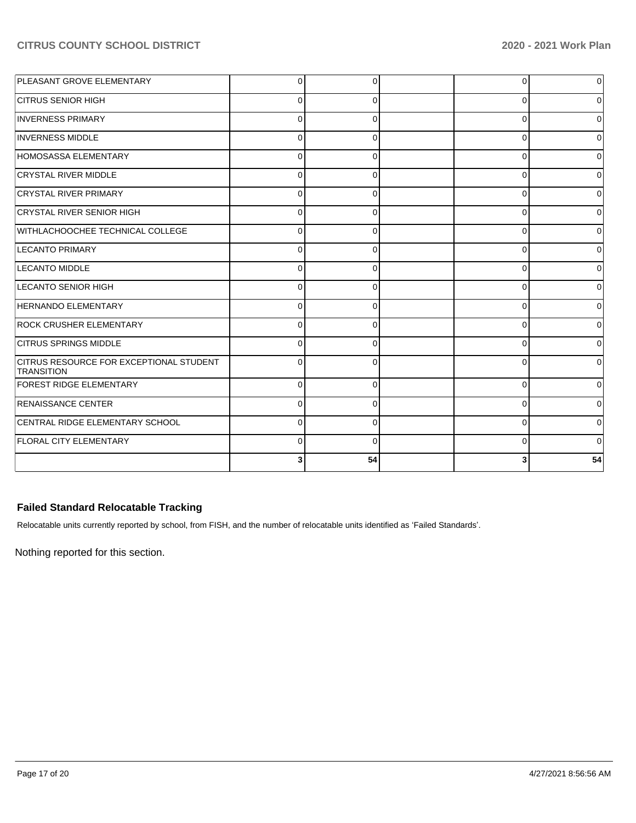| <b>PLEASANT GROVE ELEMENTARY</b>                             | 0        | 0        | $\overline{0}$ | 0  |
|--------------------------------------------------------------|----------|----------|----------------|----|
| <b>CITRUS SENIOR HIGH</b>                                    | 0        | O        | 0              |    |
| <b>INVERNESS PRIMARY</b>                                     | U        |          | $\Omega$       |    |
| <b>INVERNESS MIDDLE</b>                                      | U        | n        | 0              |    |
| HOMOSASSA ELEMENTARY                                         | $\Omega$ |          | $\Omega$       |    |
| CRYSTAL RIVER MIDDLE                                         | $\Omega$ | $\Omega$ | $\Omega$       |    |
| <b>CRYSTAL RIVER PRIMARY</b>                                 | 0        | 0        | $\Omega$       |    |
| CRYSTAL RIVER SENIOR HIGH                                    | $\Omega$ | 0        | $\mathbf 0$    |    |
| WITHLACHOOCHEE TECHNICAL COLLEGE                             | $\Omega$ |          | 0              |    |
| <b>LECANTO PRIMARY</b>                                       | $\Omega$ | $\Omega$ | 0              |    |
| <b>LECANTO MIDDLE</b>                                        | 0        | n        | $\mathbf 0$    |    |
| LECANTO SENIOR HIGH                                          | O        | 0        | 0              |    |
| <b>HERNANDO ELEMENTARY</b>                                   | U        | O        | $\mathbf 0$    |    |
| <b>ROCK CRUSHER ELEMENTARY</b>                               | $\Omega$ | ∩        | $\Omega$       |    |
| <b>CITRUS SPRINGS MIDDLE</b>                                 | 0        | O        | $\Omega$       | U  |
| CITRUS RESOURCE FOR EXCEPTIONAL STUDENT<br><b>TRANSITION</b> | 0        | 0        | $\Omega$       |    |
| <b>FOREST RIDGE ELEMENTARY</b>                               | 0        | $\Omega$ | 0              |    |
| <b>RENAISSANCE CENTER</b>                                    | $\Omega$ | 0        | 0              |    |
| CENTRAL RIDGE ELEMENTARY SCHOOL                              |          |          | 0              |    |
| <b>FLORAL CITY ELEMENTARY</b>                                | $\Omega$ | U        | 0              |    |
|                                                              |          | 54       | 3              | 54 |

## **Failed Standard Relocatable Tracking**

Relocatable units currently reported by school, from FISH, and the number of relocatable units identified as 'Failed Standards'.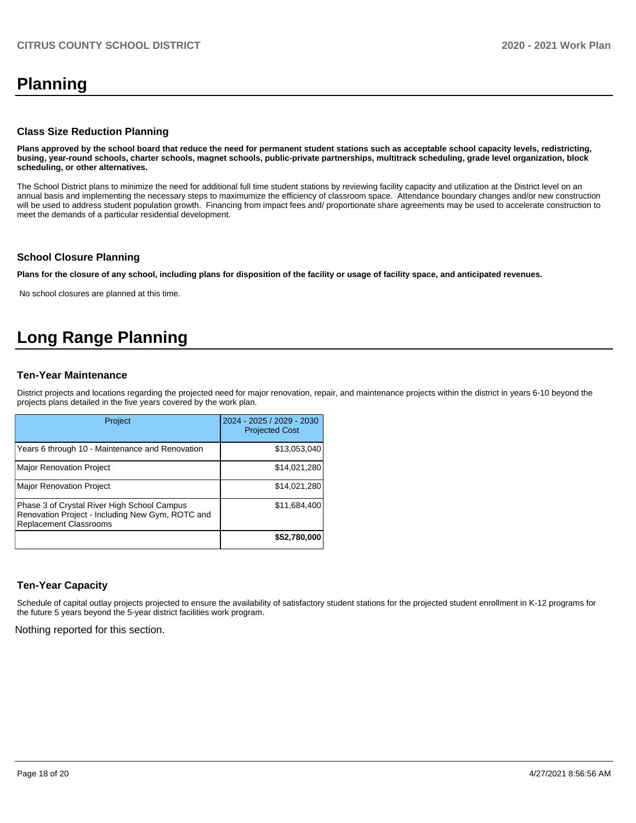# **Planning**

#### **Class Size Reduction Planning**

**Plans approved by the school board that reduce the need for permanent student stations such as acceptable school capacity levels, redistricting, busing, year-round schools, charter schools, magnet schools, public-private partnerships, multitrack scheduling, grade level organization, block scheduling, or other alternatives.**

The School District plans to minimize the need for additional full time student stations by reviewing facility capacity and utilization at the District level on an annual basis and implementing the necessary steps to maximumize the efficiency of classroom space. Attendance boundary changes and/or new construction will be used to address student population growth. Financing from impact fees and/ proportionate share agreements may be used to accelerate construction to meet the demands of a particular residential development.

#### **School Closure Planning**

**Plans for the closure of any school, including plans for disposition of the facility or usage of facility space, and anticipated revenues.** 

No school closures are planned at this time.

# **Long Range Planning**

#### **Ten-Year Maintenance**

District projects and locations regarding the projected need for major renovation, repair, and maintenance projects within the district in years 6-10 beyond the projects plans detailed in the five years covered by the work plan.

| Project                                                                                                                          | 2024 - 2025 / 2029 - 2030<br><b>Projected Cost</b> |
|----------------------------------------------------------------------------------------------------------------------------------|----------------------------------------------------|
| Years 6 through 10 - Maintenance and Renovation                                                                                  | \$13,053,040                                       |
| <b>Major Renovation Project</b>                                                                                                  | \$14,021,280                                       |
| <b>Major Renovation Project</b>                                                                                                  | \$14,021,280                                       |
| Phase 3 of Crystal River High School Campus<br>Renovation Project - Including New Gym, ROTC and<br><b>Replacement Classrooms</b> | \$11,684,400                                       |
|                                                                                                                                  | \$52,780,000                                       |

#### **Ten-Year Capacity**

Schedule of capital outlay projects projected to ensure the availability of satisfactory student stations for the projected student enrollment in K-12 programs for the future 5 years beyond the 5-year district facilities work program.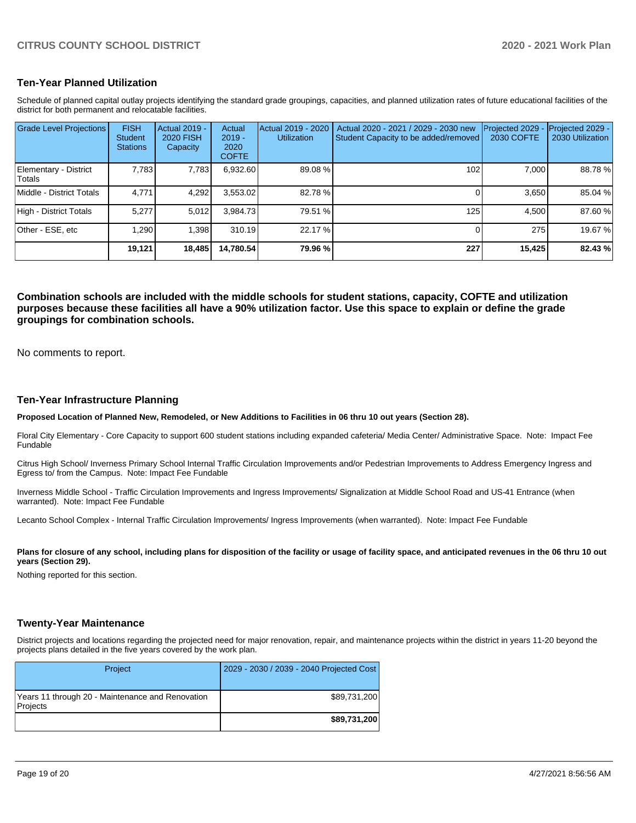#### **Ten-Year Planned Utilization**

Schedule of planned capital outlay projects identifying the standard grade groupings, capacities, and planned utilization rates of future educational facilities of the district for both permanent and relocatable facilities.

| <b>Grade Level Projections</b>         | <b>FISH</b><br><b>Student</b><br><b>Stations</b> | <b>Actual 2019 -</b><br><b>2020 FISH</b><br>Capacity | Actual<br>$2019 -$<br>2020<br><b>COFTE</b> | Actual 2019 - 2020<br><b>Utilization</b> | Actual 2020 - 2021 / 2029 - 2030 new<br>Student Capacity to be added/removed | Projected 2029<br>2030 COFTE | Projected 2029 -<br>2030 Utilization |
|----------------------------------------|--------------------------------------------------|------------------------------------------------------|--------------------------------------------|------------------------------------------|------------------------------------------------------------------------------|------------------------------|--------------------------------------|
| Elementary - District<br><b>Totals</b> | 7.783                                            | 7,783                                                | 6,932.60                                   | 89.08%                                   | 102 <sub>1</sub>                                                             | 7.000                        | 88.78 %                              |
| Middle - District Totals               | 4,771                                            | 4,292                                                | 3,553.02                                   | 82.78 %                                  |                                                                              | 3.650                        | 85.04 %                              |
| High - District Totals                 | 5.277                                            | 5.012                                                | 3.984.73                                   | 79.51 %                                  | 125                                                                          | 4.500                        | 87.60 %                              |
| Other - ESE, etc                       | 1.290                                            | 1.398                                                | 310.19                                     | 22.17 %                                  |                                                                              | 275                          | 19.67 %                              |
|                                        | 19,121                                           | 18,485                                               | 14,780.54                                  | 79.96 %                                  | 227                                                                          | 15,425                       | 82.43 %                              |

**Combination schools are included with the middle schools for student stations, capacity, COFTE and utilization purposes because these facilities all have a 90% utilization factor. Use this space to explain or define the grade groupings for combination schools.** 

No comments to report.

#### **Ten-Year Infrastructure Planning**

**Proposed Location of Planned New, Remodeled, or New Additions to Facilities in 06 thru 10 out years (Section 28).**

Floral City Elementary - Core Capacity to support 600 student stations including expanded cafeteria/ Media Center/ Administrative Space. Note: Impact Fee **Fundable** 

Citrus High School/ Inverness Primary School Internal Traffic Circulation Improvements and/or Pedestrian Improvements to Address Emergency Ingress and Egress to/ from the Campus. Note: Impact Fee Fundable

Inverness Middle School - Traffic Circulation Improvements and Ingress Improvements/ Signalization at Middle School Road and US-41 Entrance (when warranted). Note: Impact Fee Fundable

Lecanto School Complex - Internal Traffic Circulation Improvements/ Ingress Improvements (when warranted). Note: Impact Fee Fundable

Plans for closure of any school, including plans for disposition of the facility or usage of facility space, and anticipated revenues in the 06 thru 10 out **years (Section 29).**

Nothing reported for this section.

#### **Twenty-Year Maintenance**

District projects and locations regarding the projected need for major renovation, repair, and maintenance projects within the district in years 11-20 beyond the projects plans detailed in the five years covered by the work plan.

| Project                                                      | 2029 - 2030 / 2039 - 2040 Projected Cost |
|--------------------------------------------------------------|------------------------------------------|
| Years 11 through 20 - Maintenance and Renovation<br>Projects | \$89,731,200                             |
|                                                              | \$89,731,200                             |